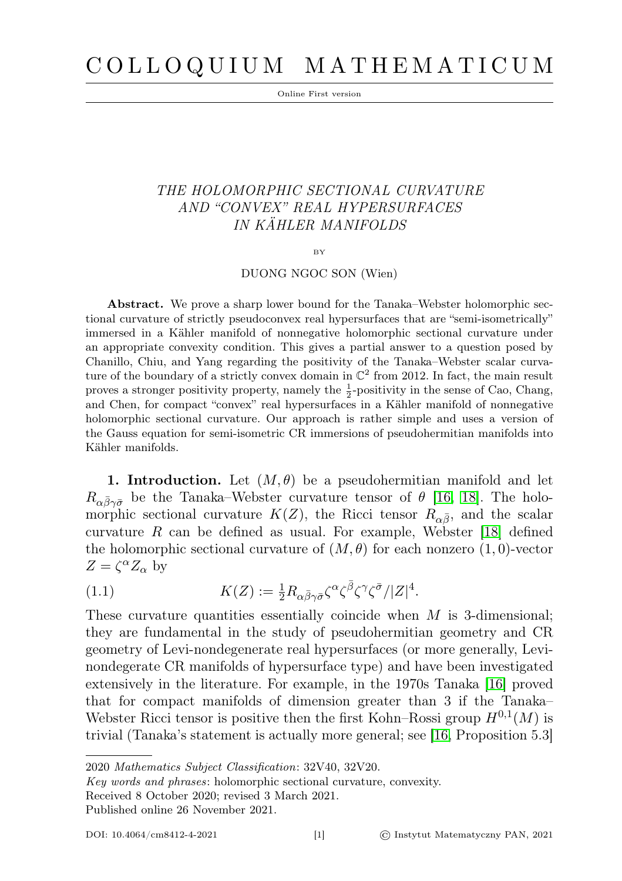# C O L L O Q U I U M M A T H E M A T I C U M

Online First version

# THE HOLOMORPHIC SECTIONAL CURVATURE AND "CONVEX" REAL HYPERSURFACES IN KÄHLER MANIFOLDS

#### BY

# DUONG NGOC SON (Wien)

Abstract. We prove a sharp lower bound for the Tanaka–Webster holomorphic sectional curvature of strictly pseudoconvex real hypersurfaces that are "semi-isometrically" immersed in a Kähler manifold of nonnegative holomorphic sectional curvature under an appropriate convexity condition. This gives a partial answer to a question posed by Chanillo, Chiu, and Yang regarding the positivity of the Tanaka–Webster scalar curvature of the boundary of a strictly convex domain in  $\mathbb{C}^2$  from 2012. In fact, the main result proves a stronger positivity property, namely the  $\frac{1}{2}$ -positivity in the sense of Cao, Chang, and Chen, for compact "convex" real hypersurfaces in a Kähler manifold of nonnegative holomorphic sectional curvature. Our approach is rather simple and uses a version of the Gauss equation for semi-isometric CR immersions of pseudohermitian manifolds into Kähler manifolds.

**1. Introduction.** Let  $(M, \theta)$  be a pseudohermitian manifold and let  $R_{\alpha\bar{\beta}\gamma\bar{\sigma}}$  be the Tanaka–Webster curvature tensor of  $\theta$  [\[16,](#page-21-0) [18\]](#page-21-1). The holomorphic sectional curvature  $K(Z)$ , the Ricci tensor  $R_{\alpha\bar{\beta}}$ , and the scalar curvature R can be defined as usual. For example, Webster  $[18]$  defined the holomorphic sectional curvature of  $(M, \theta)$  for each nonzero  $(1, 0)$ -vector  $Z = \zeta^{\alpha} Z_{\alpha}$  by

<span id="page-0-0"></span>(1.1) 
$$
K(Z) := \frac{1}{2} R_{\alpha \bar{\beta} \gamma \bar{\sigma}} \zeta^{\alpha} \zeta^{\bar{\beta}} \zeta^{\gamma} \zeta^{\bar{\sigma}} / |Z|^4.
$$

These curvature quantities essentially coincide when  $M$  is 3-dimensional; they are fundamental in the study of pseudohermitian geometry and CR geometry of Levi-nondegenerate real hypersurfaces (or more generally, Levinondegerate CR manifolds of hypersurface type) and have been investigated extensively in the literature. For example, in the 1970s Tanaka [\[16\]](#page-21-0) proved that for compact manifolds of dimension greater than 3 if the Tanaka– Webster Ricci tensor is positive then the first Kohn–Rossi group  $H^{0,1}(M)$  is trivial (Tanaka's statement is actually more general; see [\[16,](#page-21-0) Proposition 5.3]

2020 Mathematics Subject Classification: 32V40, 32V20.

Key words and phrases: holomorphic sectional curvature, convexity.

Received 8 October 2020; revised 3 March 2021.

Published online 26 November 2021.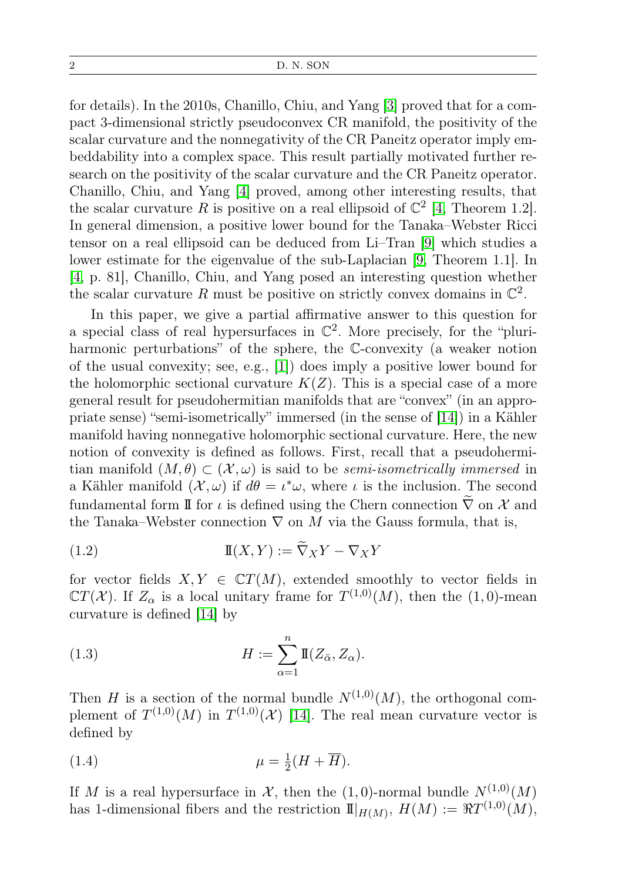#### 2 D. N. SON

for details). In the 2010s, Chanillo, Chiu, and Yang [\[3\]](#page-20-0) proved that for a compact 3-dimensional strictly pseudoconvex CR manifold, the positivity of the scalar curvature and the nonnegativity of the CR Paneitz operator imply embeddability into a complex space. This result partially motivated further research on the positivity of the scalar curvature and the CR Paneitz operator. Chanillo, Chiu, and Yang [\[4\]](#page-20-1) proved, among other interesting results, that the scalar curvature R is positive on a real ellipsoid of  $\mathbb{C}^2$  [\[4,](#page-20-1) Theorem 1.2]. In general dimension, a positive lower bound for the Tanaka–Webster Ricci tensor on a real ellipsoid can be deduced from Li–Tran [\[9\]](#page-21-2) which studies a lower estimate for the eigenvalue of the sub-Laplacian [\[9,](#page-21-2) Theorem 1.1]. In [\[4,](#page-20-1) p. 81], Chanillo, Chiu, and Yang posed an interesting question whether the scalar curvature R must be positive on strictly convex domains in  $\mathbb{C}^2$ .

In this paper, we give a partial affirmative answer to this question for a special class of real hypersurfaces in  $\mathbb{C}^2$ . More precisely, for the "pluriharmonic perturbations" of the sphere, the C-convexity (a weaker notion of the usual convexity; see, e.g., [\[1\]](#page-20-2)) does imply a positive lower bound for the holomorphic sectional curvature  $K(Z)$ . This is a special case of a more general result for pseudohermitian manifolds that are "convex" (in an appropriate sense) "semi-isometrically" immersed (in the sense of [\[14\]](#page-21-3)) in a Kähler manifold having nonnegative holomorphic sectional curvature. Here, the new notion of convexity is defined as follows. First, recall that a pseudohermitian manifold  $(M, \theta) \subset (\mathcal{X}, \omega)$  is said to be *semi-isometrically immersed* in a Kähler manifold  $(\mathcal{X}, \omega)$  if  $d\theta = \iota^* \omega$ , where  $\iota$  is the inclusion. The second fundamental form  ${\rm I\!I}$  for  $\iota$  is defined using the Chern connection  $\widetilde{\nabla}$  on  ${\mathcal X}$  and the Tanaka–Webster connection  $\nabla$  on M via the Gauss formula, that is,

(1.2) 
$$
\mathbb{I}(X,Y) := \nabla_X Y - \nabla_X Y
$$

for vector fields  $X, Y \in \mathbb{C}T(M)$ , extended smoothly to vector fields in  $\mathbb{C}T(\mathcal{X})$ . If  $Z_{\alpha}$  is a local unitary frame for  $T^{(1,0)}(M)$ , then the  $(1,0)$ -mean curvature is defined [\[14\]](#page-21-3) by

(1.3) 
$$
H := \sum_{\alpha=1}^{n} \mathbb{I}(Z_{\bar{\alpha}}, Z_{\alpha}).
$$

Then H is a section of the normal bundle  $N^{(1,0)}(M)$ , the orthogonal complement of  $T^{(1,0)}(M)$  in  $T^{(1,0)}(\mathcal{X})$  [\[14\]](#page-21-3). The real mean curvature vector is defined by

$$
\mu = \frac{1}{2}(H + \overline{H}).
$$

If M is a real hypersurface in  $\mathcal{X}$ , then the (1,0)-normal bundle  $N^{(1,0)}(M)$ has 1-dimensional fibers and the restriction  $\mathbb{I}|_{H(M)}$ ,  $H(M) := \Re T^{(1,0)}(M)$ ,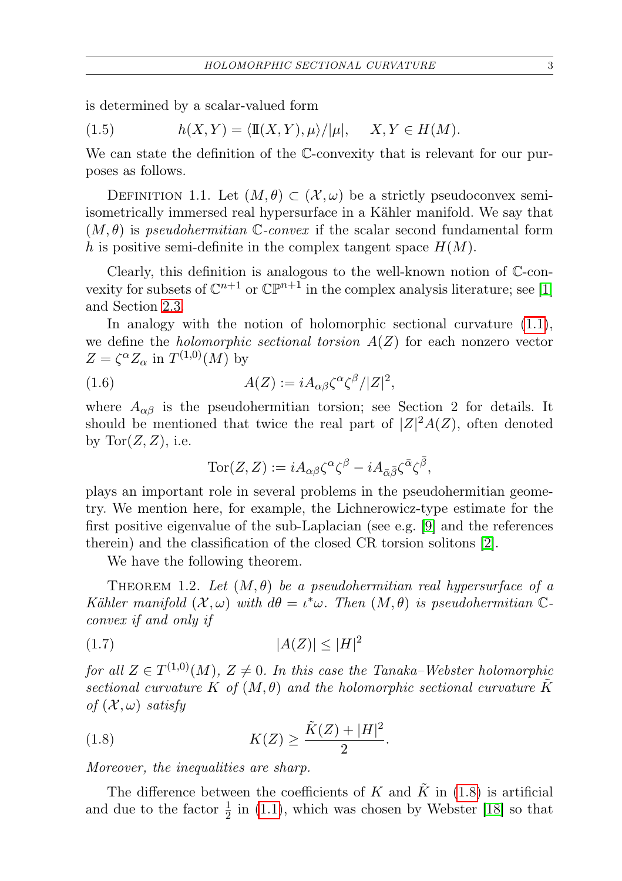is determined by a scalar-valued form

<span id="page-2-3"></span>(1.5) 
$$
h(X,Y) = \langle \mathbb{I}(X,Y), \mu \rangle / |\mu|, \quad X, Y \in H(M).
$$

We can state the definition of the C-convexity that is relevant for our purposes as follows.

<span id="page-2-2"></span>DEFINITION 1.1. Let  $(M, \theta) \subset (\mathcal{X}, \omega)$  be a strictly pseudoconvex semiisometrically immersed real hypersurface in a Kähler manifold. We say that  $(M, \theta)$  is pseudohermitian C-convex if the scalar second fundamental form h is positive semi-definite in the complex tangent space  $H(M)$ .

Clearly, this definition is analogous to the well-known notion of C-convexity for subsets of  $\mathbb{C}^{n+1}$  or  $\mathbb{CP}^{n+1}$  in the complex analysis literature; see [\[1\]](#page-20-2) and Section [2.3.](#page-10-0)

In analogy with the notion of holomorphic sectional curvature [\(1.1\)](#page-0-0), we define the *holomorphic sectional torsion*  $A(Z)$  for each nonzero vector  $Z = \zeta^{\alpha} Z_{\alpha}$  in  $T^{(1,0)}(M)$  by

(1.6) 
$$
A(Z) := i A_{\alpha\beta} \zeta^{\alpha} \zeta^{\beta} / |Z|^2,
$$

where  $A_{\alpha\beta}$  is the pseudohermitian torsion; see Section 2 for details. It should be mentioned that twice the real part of  $|Z|^2A(Z)$ , often denoted by  $Tor(Z, Z)$ , i.e.

$$
\operatorname{Tor}(Z,Z) := i A_{\alpha\beta} \zeta^{\alpha} \zeta^{\beta} - i A_{\bar{\alpha}\bar{\beta}} \zeta^{\bar{\alpha}} \zeta^{\bar{\beta}},
$$

plays an important role in several problems in the pseudohermitian geometry. We mention here, for example, the Lichnerowicz-type estimate for the first positive eigenvalue of the sub-Laplacian (see e.g. [\[9\]](#page-21-2) and the references therein) and the classification of the closed CR torsion solitons [\[2\]](#page-20-3).

We have the following theorem.

<span id="page-2-1"></span>THEOREM 1.2. Let  $(M, \theta)$  be a pseudohermitian real hypersurface of a Kähler manifold  $(X, \omega)$  with  $d\theta = \iota^* \omega$ . Then  $(M, \theta)$  is pseudohermitian  $\mathbb{C}$ convex if and only if

<span id="page-2-4"></span>
$$
(1.7)\qquad |A(Z)| \le |H|^2
$$

for all  $Z \in T^{(1,0)}(M)$ ,  $Z \neq 0$ . In this case the Tanaka–Webster holomorphic sectional curvature K of  $(M, \theta)$  and the holomorphic sectional curvature K of  $(\mathcal{X}, \omega)$  satisfy

<span id="page-2-0"></span>(1.8) 
$$
K(Z) \ge \frac{\tilde{K}(Z) + |H|^2}{2}.
$$

Moreover, the inequalities are sharp.

The difference between the coefficients of K and  $\tilde{K}$  in [\(1.8\)](#page-2-0) is artificial and due to the factor  $\frac{1}{2}$  in [\(1.1\)](#page-0-0), which was chosen by Webster [\[18\]](#page-21-1) so that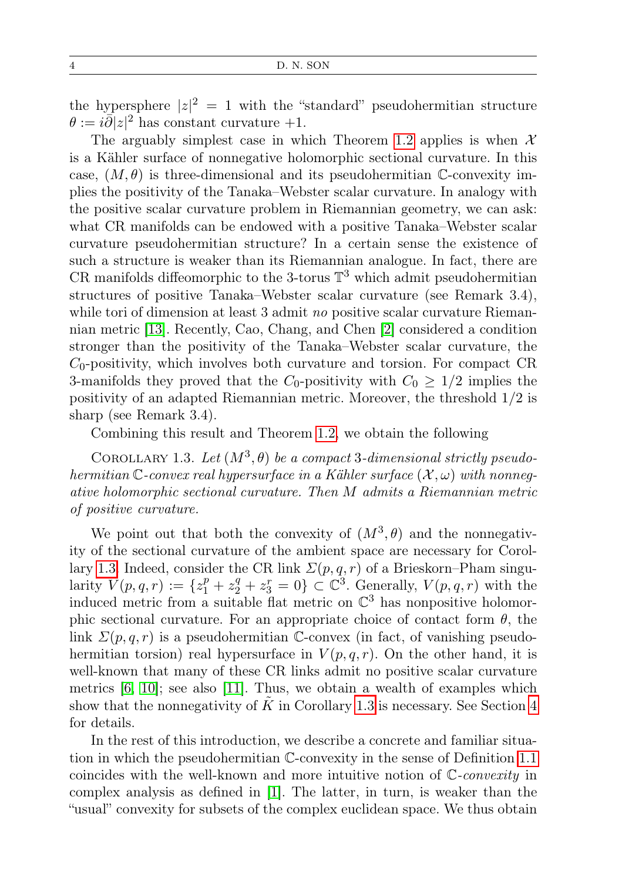the hypersphere  $|z|^2 = 1$  with the "standard" pseudohermitian structure  $\theta := i \overline{\partial} |z|^2$  has constant curvature +1.

The arguably simplest case in which Theorem [1.2](#page-2-1) applies is when  $\mathcal{X}$ is a Kähler surface of nonnegative holomorphic sectional curvature. In this case,  $(M, \theta)$  is three-dimensional and its pseudohermitian C-convexity implies the positivity of the Tanaka–Webster scalar curvature. In analogy with the positive scalar curvature problem in Riemannian geometry, we can ask: what CR manifolds can be endowed with a positive Tanaka–Webster scalar curvature pseudohermitian structure? In a certain sense the existence of such a structure is weaker than its Riemannian analogue. In fact, there are CR manifolds diffeomorphic to the 3-torus  $\mathbb{T}^3$  which admit pseudohermitian structures of positive Tanaka–Webster scalar curvature (see Remark 3.4), while tori of dimension at least 3 admit no positive scalar curvature Riemannian metric [\[13\]](#page-21-4). Recently, Cao, Chang, and Chen [\[2\]](#page-20-3) considered a condition stronger than the positivity of the Tanaka–Webster scalar curvature, the  $C_0$ -positivity, which involves both curvature and torsion. For compact CR 3-manifolds they proved that the  $C_0$ -positivity with  $C_0 \geq 1/2$  implies the positivity of an adapted Riemannian metric. Moreover, the threshold 1/2 is sharp (see Remark 3.4).

Combining this result and Theorem [1.2,](#page-2-1) we obtain the following

<span id="page-3-0"></span>COROLLARY 1.3. Let  $(M^3, \theta)$  be a compact 3-dimensional strictly pseudohermitian C-convex real hypersurface in a Kähler surface  $(\mathcal{X}, \omega)$  with nonnegative holomorphic sectional curvature. Then M admits a Riemannian metric of positive curvature.

We point out that both the convexity of  $(M^3, \theta)$  and the nonnegativity of the sectional curvature of the ambient space are necessary for Corol-lary [1.3.](#page-3-0) Indeed, consider the CR link  $\Sigma(p,q,r)$  of a Brieskorn–Pham singularity  $V(p,q,r) := \{z_1^p + z_2^q + z_3^r = 0\} \subset \mathbb{C}^3$ . Generally,  $V(p,q,r)$  with the induced metric from a suitable flat metric on  $\mathbb{C}^3$  has nonpositive holomorphic sectional curvature. For an appropriate choice of contact form  $\theta$ , the link  $\Sigma(p,q,r)$  is a pseudohermitian C-convex (in fact, of vanishing pseudohermitian torsion) real hypersurface in  $V(p,q,r)$ . On the other hand, it is well-known that many of these CR links admit no positive scalar curvature metrics  $[6, 10]$  $[6, 10]$ ; see also  $[11]$ . Thus, we obtain a wealth of examples which show that the nonnegativity of  $K$  in Corollary [1.3](#page-3-0) is necessary. See Section [4](#page-15-0) for details.

In the rest of this introduction, we describe a concrete and familiar situation in which the pseudohermitian C-convexity in the sense of Definition [1.1](#page-2-2) coincides with the well-known and more intuitive notion of C-convexity in complex analysis as defined in [\[1\]](#page-20-2). The latter, in turn, is weaker than the "usual" convexity for subsets of the complex euclidean space. We thus obtain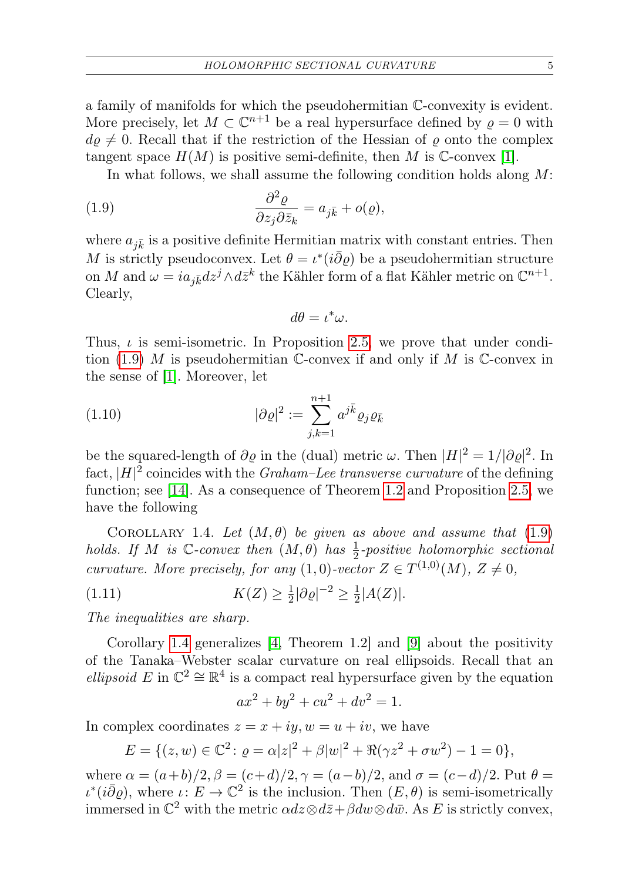a family of manifolds for which the pseudohermitian C-convexity is evident. More precisely, let  $M \subset \mathbb{C}^{n+1}$  be a real hypersurface defined by  $\varrho = 0$  with  $d\rho \neq 0$ . Recall that if the restriction of the Hessian of  $\rho$  onto the complex tangent space  $H(M)$  is positive semi-definite, then M is C-convex [\[1\]](#page-20-2).

In what follows, we shall assume the following condition holds along  $M$ :

<span id="page-4-0"></span>(1.9) 
$$
\frac{\partial^2 \varrho}{\partial z_j \partial \bar{z}_k} = a_{j\bar{k}} + o(\varrho),
$$

where  $a_{j\bar{k}}$  is a positive definite Hermitian matrix with constant entries. Then M is strictly pseudoconvex. Let  $\theta = \iota^*(i\bar{\partial}\varrho)$  be a pseudohermitian structure on M and  $\omega = ia_{j\bar{k}}dz^j \wedge d\bar{z}^k$  the Kähler form of a flat Kähler metric on  $\mathbb{C}^{n+1}$ . Clearly,

$$
d\theta = \iota^*\omega.
$$

Thus,  $\iota$  is semi-isometric. In Proposition [2.5,](#page-10-1) we prove that under condi-tion [\(1.9\)](#page-4-0) M is pseudohermitian C-convex if and only if M is C-convex in the sense of [\[1\]](#page-20-2). Moreover, let

(1.10) 
$$
|\partial \varrho|^2 := \sum_{j,k=1}^{n+1} a^{j\bar{k}} \varrho_j \varrho_{\bar{k}}
$$

be the squared-length of  $\partial \varrho$  in the (dual) metric  $\omega$ . Then  $|H|^2 = 1/|\partial \varrho|^2$ . In fact,  $|H|^2$  coincides with the *Graham–Lee transverse curvature* of the defining function; see [\[14\]](#page-21-3). As a consequence of Theorem [1.2](#page-2-1) and Proposition [2.5,](#page-10-1) we have the following

<span id="page-4-1"></span>COROLLARY 1.4. Let  $(M, \theta)$  be given as above and assume that  $(1.9)$ holds. If M is C-convex then  $(M, \theta)$  has  $\frac{1}{2}$ -positive holomorphic sectional curvature. More precisely, for any  $(1,0)$ -vector  $Z \in T^{(1,0)}(M), Z \neq 0$ ,

(1.11) 
$$
K(Z) \ge \frac{1}{2} |\partial \varrho|^{-2} \ge \frac{1}{2} |A(Z)|.
$$

The inequalities are sharp.

Corollary [1.4](#page-4-1) generalizes [\[4,](#page-20-1) Theorem 1.2] and [\[9\]](#page-21-2) about the positivity of the Tanaka–Webster scalar curvature on real ellipsoids. Recall that an ellipsoid E in  $\mathbb{C}^2 \cong \mathbb{R}^4$  is a compact real hypersurface given by the equation

$$
ax^2 + by^2 + cu^2 + dv^2 = 1.
$$

In complex coordinates  $z = x + iy$ ,  $w = u + iv$ , we have

$$
E = \{(z, w) \in \mathbb{C}^2 \colon \varrho = \alpha |z|^2 + \beta |w|^2 + \Re(\gamma z^2 + \sigma w^2) - 1 = 0\},\
$$

where  $\alpha = (a+b)/2$ ,  $\beta = (c+d)/2$ ,  $\gamma = (a-b)/2$ , and  $\sigma = (c-d)/2$ . Put  $\theta =$  $\iota^*(i\bar{\partial}\varrho)$ , where  $\iota: E \to \mathbb{C}^2$  is the inclusion. Then  $(E, \theta)$  is semi-isometrically immersed in  $\mathbb{C}^2$  with the metric  $\alpha dz \otimes d\bar{z} + \beta dw \otimes d\bar{w}$ . As E is strictly convex,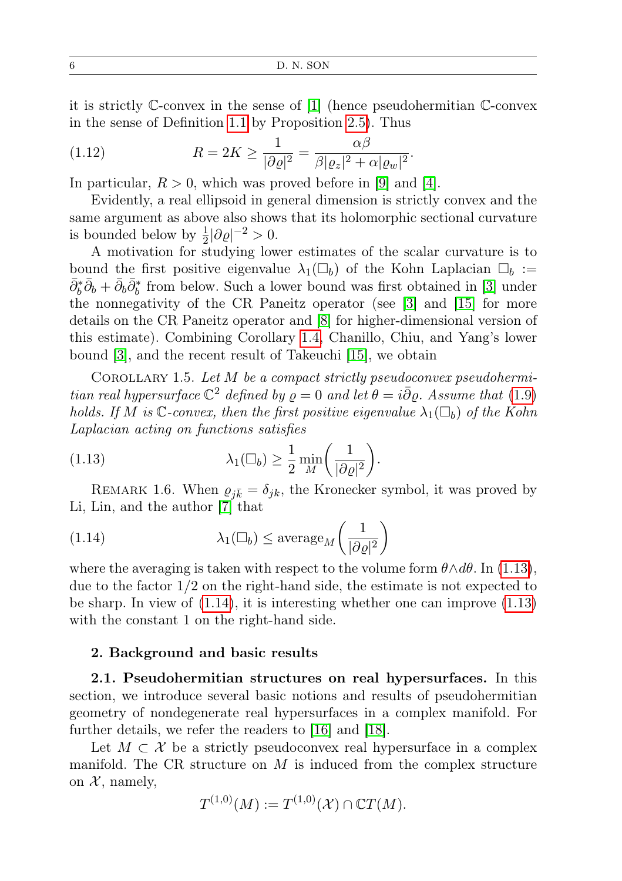it is strictly C-convex in the sense of [\[1\]](#page-20-2) (hence pseudohermitian C-convex in the sense of Definition [1.1](#page-2-2) by Proposition [2.5\)](#page-10-1). Thus

(1.12) 
$$
R = 2K \ge \frac{1}{|\partial \varrho|^2} = \frac{\alpha \beta}{\beta |\varrho_z|^2 + \alpha |\varrho_w|^2}.
$$

In particular,  $R > 0$ , which was proved before in [\[9\]](#page-21-2) and [\[4\]](#page-20-1).

Evidently, a real ellipsoid in general dimension is strictly convex and the same argument as above also shows that its holomorphic sectional curvature is bounded below by  $\frac{1}{2}|\partial \varrho|^{-2} > 0$ .

A motivation for studying lower estimates of the scalar curvature is to bound the first positive eigenvalue  $\lambda_1(\Box_b)$  of the Kohn Laplacian  $\Box_b :=$  $\bar{\partial}_b^* \bar{\partial}_b + \bar{\partial}_b \bar{\partial}_b^*$  from below. Such a lower bound was first obtained in [\[3\]](#page-20-0) under the nonnegativity of the CR Paneitz operator (see [\[3\]](#page-20-0) and [\[15\]](#page-21-7) for more details on the CR Paneitz operator and [\[8\]](#page-21-8) for higher-dimensional version of this estimate). Combining Corollary [1.4,](#page-4-1) Chanillo, Chiu, and Yang's lower bound [\[3\]](#page-20-0), and the recent result of Takeuchi [\[15\]](#page-21-7), we obtain

<span id="page-5-2"></span>COROLLARY 1.5. Let  $M$  be a compact strictly pseudoconvex pseudohermitian real hypersurface  $\mathbb{C}^2$  defined by  $\rho = 0$  and let  $\theta = i \bar{\partial} \rho$ . Assume that [\(1.9\)](#page-4-0) holds. If M is  $\mathbb{C}$ -convex, then the first positive eigenvalue  $\lambda_1(\Box_b)$  of the Kohn Laplacian acting on functions satisfies

<span id="page-5-0"></span>(1.13) 
$$
\lambda_1(\Box_b) \geq \frac{1}{2} \min_M \left( \frac{1}{|\partial \varrho|^2} \right).
$$

REMARK 1.6. When  $\varrho_{j\bar{k}} = \delta_{jk}$ , the Kronecker symbol, it was proved by Li, Lin, and the author [\[7\]](#page-20-5) that

<span id="page-5-1"></span>(1.14) 
$$
\lambda_1(\Box_b) \leq \operatorname{average}_M\left(\frac{1}{|\partial \varrho|^2}\right)
$$

where the averaging is taken with respect to the volume form  $\theta \wedge d\theta$ . In [\(1.13\)](#page-5-0), due to the factor 1/2 on the right-hand side, the estimate is not expected to be sharp. In view of [\(1.14\)](#page-5-1), it is interesting whether one can improve [\(1.13\)](#page-5-0) with the constant 1 on the right-hand side.

# 2. Background and basic results

2.1. Pseudohermitian structures on real hypersurfaces. In this section, we introduce several basic notions and results of pseudohermitian geometry of nondegenerate real hypersurfaces in a complex manifold. For further details, we refer the readers to [\[16\]](#page-21-0) and [\[18\]](#page-21-1).

Let  $M \subset \mathcal{X}$  be a strictly pseudoconvex real hypersurface in a complex manifold. The CR structure on  $M$  is induced from the complex structure on  $\mathcal{X}$ , namely,

$$
T^{(1,0)}(M) := T^{(1,0)}(\mathcal{X}) \cap \mathbb{C}T(M).
$$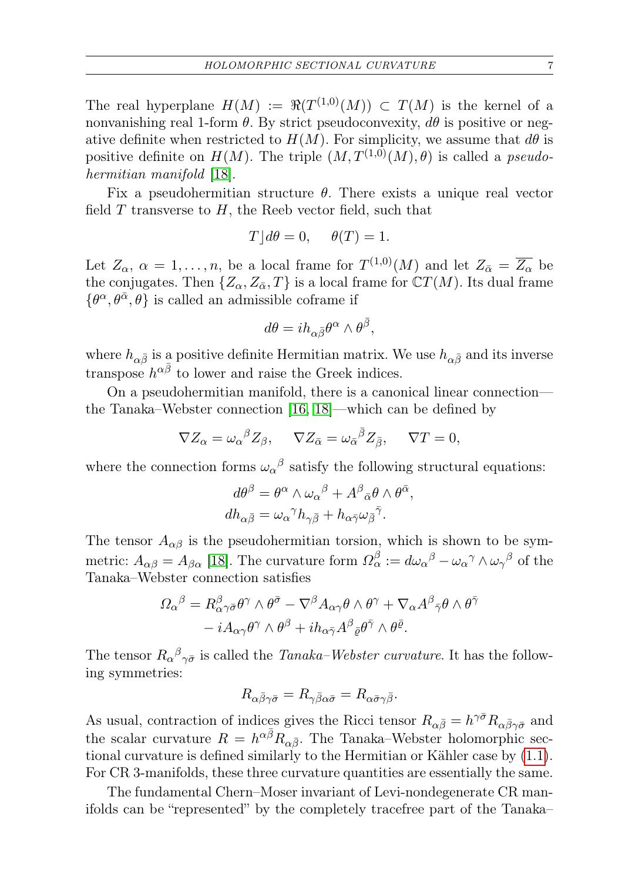The real hyperplane  $H(M) := \Re(T^{(1,0)}(M)) \subset T(M)$  is the kernel of a nonvanishing real 1-form  $\theta$ . By strict pseudoconvexity,  $d\theta$  is positive or negative definite when restricted to  $H(M)$ . For simplicity, we assume that  $d\theta$  is positive definite on  $H(M)$ . The triple  $(M, T^{(1,0)}(M), \theta)$  is called a *pseudo-*hermitian manifold [\[18\]](#page-21-1).

Fix a pseudohermitian structure  $\theta$ . There exists a unique real vector field  $T$  transverse to  $H$ , the Reeb vector field, such that

$$
T \rfloor d\theta = 0, \quad \theta(T) = 1.
$$

Let  $Z_{\alpha}$ ,  $\alpha = 1, \ldots, n$ , be a local frame for  $T^{(1,0)}(M)$  and let  $Z_{\bar{\alpha}} = \overline{Z_{\alpha}}$  be the conjugates. Then  $\{Z_{\alpha}, Z_{\bar{\alpha}}, T\}$  is a local frame for  $\mathbb{C}T(M)$ . Its dual frame  $\{\theta^{\alpha}, \theta^{\bar{\alpha}}, \theta\}$  is called an admissible coframe if

$$
d\theta=ih_{\alpha\bar{\beta}}\theta^{\alpha}\wedge\theta^{\bar{\beta}},
$$

where  $h_{\alpha\bar{\beta}}$  is a positive definite Hermitian matrix. We use  $h_{\alpha\bar{\beta}}$  and its inverse transpose  $h^{\alpha\bar{\beta}}$  to lower and raise the Greek indices.

On a pseudohermitian manifold, there is a canonical linear connection the Tanaka–Webster connection [\[16,](#page-21-0) [18\]](#page-21-1)—which can be defined by

$$
\nabla Z_{\alpha} = \omega_{\alpha}{}^{\beta} Z_{\beta}, \quad \nabla Z_{\bar{\alpha}} = \omega_{\bar{\alpha}}{}^{\bar{\beta}} Z_{\bar{\beta}}, \quad \nabla T = 0,
$$

where the connection forms  $\omega_{\alpha}{}^{\beta}$  satisfy the following structural equations:

$$
d\theta^{\beta} = \theta^{\alpha} \wedge \omega_{\alpha}{}^{\beta} + A^{\beta}{}_{\bar{\alpha}}\theta \wedge \theta^{\bar{\alpha}},
$$
  

$$
dh_{\alpha\bar{\beta}} = \omega_{\alpha}{}^{\gamma}h_{\gamma\bar{\beta}} + h_{\alpha\bar{\gamma}}\omega_{\bar{\beta}}{}^{\bar{\gamma}}.
$$

The tensor  $A_{\alpha\beta}$  is the pseudohermitian torsion, which is shown to be symmetric:  $A_{\alpha\beta} = A_{\beta\alpha}$  [\[18\]](#page-21-1). The curvature form  $\Omega_{\alpha}^{\beta} := d\omega_{\alpha}{}^{\beta} - \omega_{\alpha}{}^{\gamma} \wedge \omega_{\gamma}{}^{\beta}$  of the Tanaka–Webster connection satisfies

$$
\begin{split} \varOmega_{\alpha}{}^{\beta} &= R^{\beta}_{\alpha\gamma\bar{\sigma}}\theta^{\gamma}\wedge\theta^{\bar{\sigma}} - \nabla^{\beta}A_{\alpha\gamma}\theta\wedge\theta^{\gamma} + \nabla_{\alpha}A^{\beta}{}_{\bar{\gamma}}\theta\wedge\theta^{\bar{\gamma}} \\ &- iA_{\alpha\gamma}\theta^{\gamma}\wedge\theta^{\beta} + i h_{\alpha\bar{\gamma}}A^{\beta}{}_{\bar{\varrho}}\theta^{\bar{\gamma}}\wedge\theta^{\bar{\varrho}}. \end{split}
$$

The tensor  $R_{\alpha}{}^{\beta}{}_{\gamma\bar{\sigma}}$  is called the *Tanaka–Webster curvature*. It has the following symmetries:

$$
R_{\alpha\bar{\beta}\gamma\bar{\sigma}} = R_{\gamma\bar{\beta}\alpha\bar{\sigma}} = R_{\alpha\bar{\sigma}\gamma\bar{\beta}}.
$$

As usual, contraction of indices gives the Ricci tensor  $R_{\alpha\bar{\beta}} = h^{\gamma\bar{\sigma}} R_{\alpha\bar{\beta}\gamma\bar{\sigma}}$  and the scalar curvature  $R = h^{\alpha \bar{\beta}} R_{\alpha \bar{\beta}}$ . The Tanaka–Webster holomorphic sectional curvature is defined similarly to the Hermitian or Kähler case by [\(1.1\)](#page-0-0). For CR 3-manifolds, these three curvature quantities are essentially the same.

The fundamental Chern–Moser invariant of Levi-nondegenerate CR manifolds can be "represented" by the completely tracefree part of the Tanaka–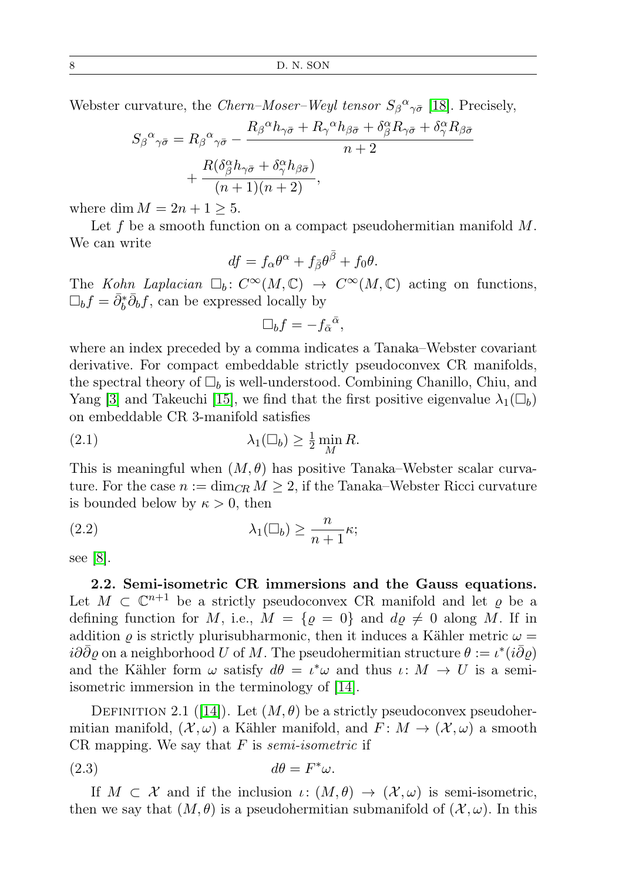Webster curvature, the *Chern–Moser–Weyl tensor*  $S_{\beta}{}^{\alpha}{}_{\gamma\bar{\sigma}}$  [\[18\]](#page-21-1). Precisely,

$$
S_{\beta}{}^{\alpha}{}_{\gamma\bar{\sigma}} = R_{\beta}{}^{\alpha}{}_{\gamma\bar{\sigma}} - \frac{R_{\beta}{}^{\alpha}h_{\gamma\bar{\sigma}} + R_{\gamma}{}^{\alpha}h_{\beta\bar{\sigma}} + \delta^{\alpha}_{\beta}R_{\gamma\bar{\sigma}} + \delta^{\alpha}_{\gamma}R_{\beta\bar{\sigma}}}{n+2} + \frac{R(\delta^{\alpha}_{\beta}h_{\gamma\bar{\sigma}} + \delta^{\alpha}_{\gamma}h_{\beta\bar{\sigma}})}{(n+1)(n+2)},
$$

where dim  $M = 2n + 1 \geq 5$ .

Let f be a smooth function on a compact pseudohermitian manifold  $M$ . We can write

$$
df = f_{\alpha}\theta^{\alpha} + f_{\bar{\beta}}\theta^{\bar{\beta}} + f_0\theta.
$$

The Kohn Laplacian  $\Box_b : C^{\infty}(M, \mathbb{C}) \rightarrow C^{\infty}(M, \mathbb{C})$  acting on functions,  $\Box_b f = \bar{\partial}_b^* \bar{\partial}_b f$ , can be expressed locally by

<span id="page-7-0"></span>
$$
\Box_b f = -f_{\bar{\alpha}}{}^{\bar{\alpha}},
$$

where an index preceded by a comma indicates a Tanaka–Webster covariant derivative. For compact embeddable strictly pseudoconvex CR manifolds, the spectral theory of  $\Box_b$  is well-understood. Combining Chanillo, Chiu, and Yang [\[3\]](#page-20-0) and Takeuchi [\[15\]](#page-21-7), we find that the first positive eigenvalue  $\lambda_1(\Box_b)$ on embeddable CR 3-manifold satisfies

(2.1) 
$$
\lambda_1(\Box_b) \geq \frac{1}{2} \min_M R.
$$

This is meaningful when  $(M, \theta)$  has positive Tanaka–Webster scalar curvature. For the case  $n := \dim_{CR} M \geq 2$ , if the Tanaka–Webster Ricci curvature is bounded below by  $\kappa > 0$ , then

(2.2) 
$$
\lambda_1(\Box_b) \geq \frac{n}{n+1} \kappa;
$$

see [\[8\]](#page-21-8).

2.2. Semi-isometric CR immersions and the Gauss equations. Let  $M \subset \mathbb{C}^{n+1}$  be a strictly pseudoconvex CR manifold and let  $\varrho$  be a defining function for M, i.e.,  $M = \{ \varrho = 0 \}$  and  $d\varrho \neq 0$  along M. If in addition  $\rho$  is strictly plurisubharmonic, then it induces a Kähler metric  $\omega =$  $i\partial\bar{\partial}\varrho$  on a neighborhood U of M. The pseudohermitian structure  $\theta := \iota^*(i\bar{\partial}\varrho)$ and the Kähler form  $\omega$  satisfy  $d\theta = \iota^* \omega$  and thus  $\iota \colon M \to U$  is a semiisometric immersion in the terminology of [\[14\]](#page-21-3).

DEFINITION 2.1 ([\[14\]](#page-21-3)). Let  $(M, \theta)$  be a strictly pseudoconvex pseudohermitian manifold,  $(\mathcal{X}, \omega)$  a Kähler manifold, and  $F: M \to (\mathcal{X}, \omega)$  a smooth CR mapping. We say that  $F$  is *semi-isometric* if

$$
(2.3) \t d\theta = F^*\omega.
$$

If  $M \subset \mathcal{X}$  and if the inclusion  $\iota: (M, \theta) \to (\mathcal{X}, \omega)$  is semi-isometric, then we say that  $(M, \theta)$  is a pseudohermitian submanifold of  $(\mathcal{X}, \omega)$ . In this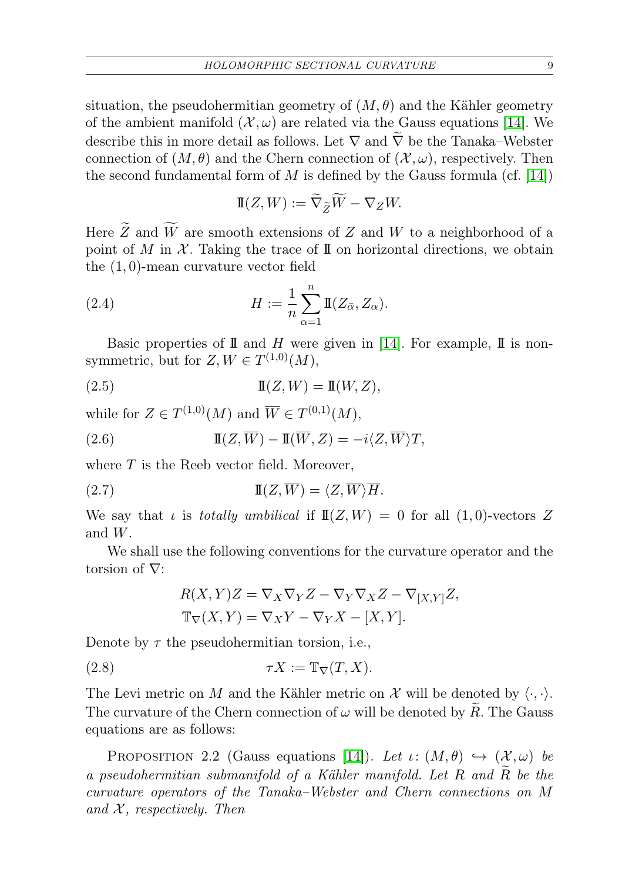situation, the pseudohermitian geometry of  $(M, \theta)$  and the Kähler geometry of the ambient manifold  $(\mathcal{X}, \omega)$  are related via the Gauss equations [\[14\]](#page-21-3). We describe this in more detail as follows. Let  $\nabla$  and  $\nabla$  be the Tanaka–Webster connection of  $(M, \theta)$  and the Chern connection of  $(X, \omega)$ , respectively. Then the second fundamental form of M is defined by the Gauss formula (cf. [\[14\]](#page-21-3))

$$
\mathbb{I}(Z,W) := \widetilde{\nabla}_{\widetilde{Z}} \widetilde{W} - \nabla_Z W.
$$

Here  $\widetilde{Z}$  and  $\widetilde{W}$  are smooth extensions of Z and W to a neighborhood of a point of M in  $\mathcal X$ . Taking the trace of II on horizontal directions, we obtain the (1, 0)-mean curvature vector field

(2.4) 
$$
H := \frac{1}{n} \sum_{\alpha=1}^{n} \mathbb{I}(Z_{\bar{\alpha}}, Z_{\alpha}).
$$

Basic properties of  $\mathbb I$  and  $H$  were given in [\[14\]](#page-21-3). For example,  $\mathbb I$  is nonsymmetric, but for  $Z, W \in T^{(1,0)}(M)$ ,

$$
\mathbb{I}(Z,W) = \mathbb{I}(W,Z),
$$

while for  $Z \in T^{(1,0)}(M)$  and  $\overline{W} \in T^{(0,1)}(M)$ ,

(2.6) 
$$
\mathbb{I}(Z,\overline{W}) - \mathbb{I}(\overline{W},Z) = -i\langle Z,\overline{W}\rangle T,
$$

where  $T$  is the Reeb vector field. Moreover,

(2.7) 
$$
\mathbb{I}(Z,\overline{W}) = \langle Z,\overline{W}\rangle\overline{H}.
$$

We say that  $\iota$  is totally umbilical if  $\mathbb{I}(Z, W) = 0$  for all  $(1, 0)$ -vectors Z and W.

We shall use the following conventions for the curvature operator and the torsion of ∇:

$$
R(X,Y)Z = \nabla_X \nabla_Y Z - \nabla_Y \nabla_X Z - \nabla_{[X,Y]} Z,
$$
  

$$
\mathbb{T}_{\nabla}(X,Y) = \nabla_X Y - \nabla_Y X - [X,Y].
$$

Denote by  $\tau$  the pseudohermitian torsion, i.e.,

(2.8) 
$$
\tau X := \mathbb{T}_{\nabla}(T, X).
$$

The Levi metric on M and the Kähler metric on X will be denoted by  $\langle \cdot, \cdot \rangle$ . The curvature of the Chern connection of  $\omega$  will be denoted by R. The Gauss equations are as follows:

<span id="page-8-0"></span>PROPOSITION 2.2 (Gauss equations [\[14\]](#page-21-3)). Let  $\iota: (M, \theta) \hookrightarrow (\mathcal{X}, \omega)$  be a pseudohermitian submanifold of a Kähler manifold. Let  $R$  and  $\tilde{R}$  be the curvature operators of the Tanaka–Webster and Chern connections on M and  $X$ , respectively. Then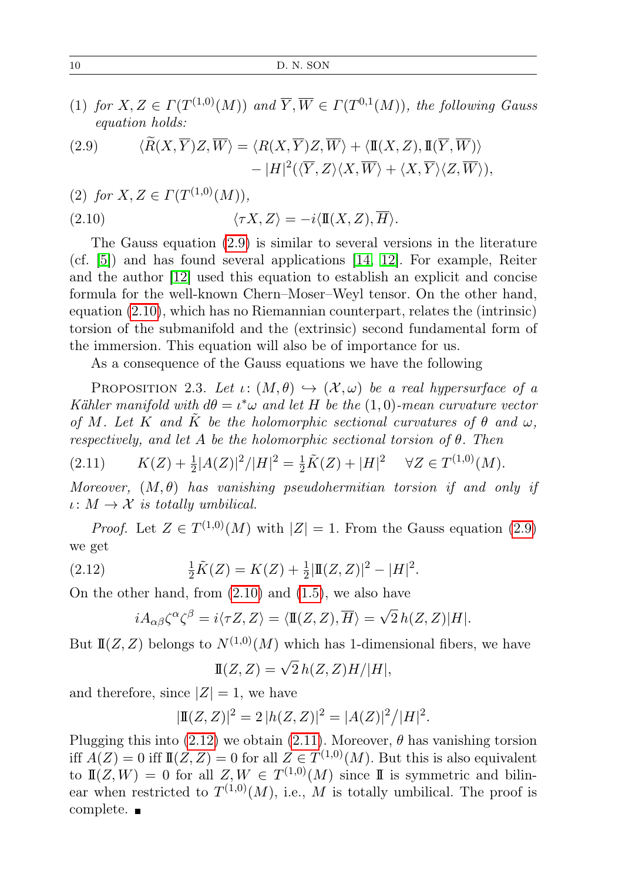(1) for  $X, Z \in \Gamma(T^{(1,0)}(M))$  and  $\overline{Y}, \overline{W} \in \Gamma(T^{0,1}(M))$ , the following Gauss equation holds:

<span id="page-9-0"></span>(2.9) 
$$
\langle \widetilde{R}(X,\overline{Y})Z,\overline{W}\rangle = \langle R(X,\overline{Y})Z,\overline{W}\rangle + \langle \mathbb{I}(X,Z),\mathbb{I}(\overline{Y},\overline{W})\rangle - |H|^2(\langle \overline{Y},Z\rangle\langle X,\overline{W}\rangle + \langle X,\overline{Y}\rangle\langle Z,\overline{W}\rangle),
$$

<span id="page-9-1"></span>(2) for  $X, Z \in \Gamma(T^{(1,0)}(M)),$ 

(2.10) 
$$
\langle \tau X, Z \rangle = -i \langle \mathbb{I}(X, Z), \overline{H} \rangle.
$$

The Gauss equation [\(2.9\)](#page-9-0) is similar to several versions in the literature (cf. [\[5\]](#page-20-6)) and has found several applications [\[14,](#page-21-3) [12\]](#page-21-9). For example, Reiter and the author [\[12\]](#page-21-9) used this equation to establish an explicit and concise formula for the well-known Chern–Moser–Weyl tensor. On the other hand, equation [\(2.10\)](#page-9-1), which has no Riemannian counterpart, relates the (intrinsic) torsion of the submanifold and the (extrinsic) second fundamental form of the immersion. This equation will also be of importance for us.

As a consequence of the Gauss equations we have the following

PROPOSITION 2.3. Let  $\iota: (M, \theta) \hookrightarrow (\mathcal{X}, \omega)$  be a real hypersurface of a Kähler manifold with  $d\theta = \iota^* \omega$  and let H be the  $(1,0)$ -mean curvature vector of M. Let K and K be the holomorphic sectional curvatures of  $\theta$  and  $\omega$ , respectively, and let A be the holomorphic sectional torsion of  $\theta$ . Then

<span id="page-9-3"></span>
$$
(2.11) \t K(Z) + \frac{1}{2}|A(Z)|^2/|H|^2 = \frac{1}{2}\tilde{K}(Z) + |H|^2 \quad \forall Z \in T^{(1,0)}(M).
$$

Moreover,  $(M, \theta)$  has vanishing pseudohermitian torsion if and only if  $\iota: M \to \mathcal{X}$  is totally umbilical.

*Proof.* Let  $Z \in T^{(1,0)}(M)$  with  $|Z| = 1$ . From the Gauss equation [\(2.9\)](#page-9-0) we get

<span id="page-9-2"></span>(2.12) 
$$
\frac{1}{2}\tilde{K}(Z) = K(Z) + \frac{1}{2}|\mathbb{I}(Z,Z)|^2 - |H|^2.
$$

On the other hand, from  $(2.10)$  and  $(1.5)$ , we also have

$$
iA_{\alpha\beta}\zeta^{\alpha}\zeta^{\beta} = i\langle \tau Z, Z\rangle = \langle \mathbb{I}(Z,Z), \overline{H}\rangle = \sqrt{2} h(Z,Z)|H|.
$$

But  $\mathbb{I}(Z, Z)$  belongs to  $N^{(1,0)}(M)$  which has 1-dimensional fibers, we have

$$
\mathbb{I}(Z,Z) = \sqrt{2} h(Z,Z) H / |H|,
$$

and therefore, since  $|Z|=1$ , we have

$$
|\mathbf{I}(Z,Z)|^2 = 2|h(Z,Z)|^2 = |A(Z)|^2/|H|^2.
$$

Plugging this into  $(2.12)$  we obtain  $(2.11)$ . Moreover,  $\theta$  has vanishing torsion iff  $A(Z) = 0$  iff  $I\mathbb{I}(Z, Z) = 0$  for all  $Z \in T^{(1,0)}(M)$ . But this is also equivalent to  $I\!I(Z, W) = 0$  for all  $Z, W \in T^{(1,0)}(M)$  since II is symmetric and bilinear when restricted to  $T^{(1,0)}(M)$ , i.e., M is totally umbilical. The proof is complete.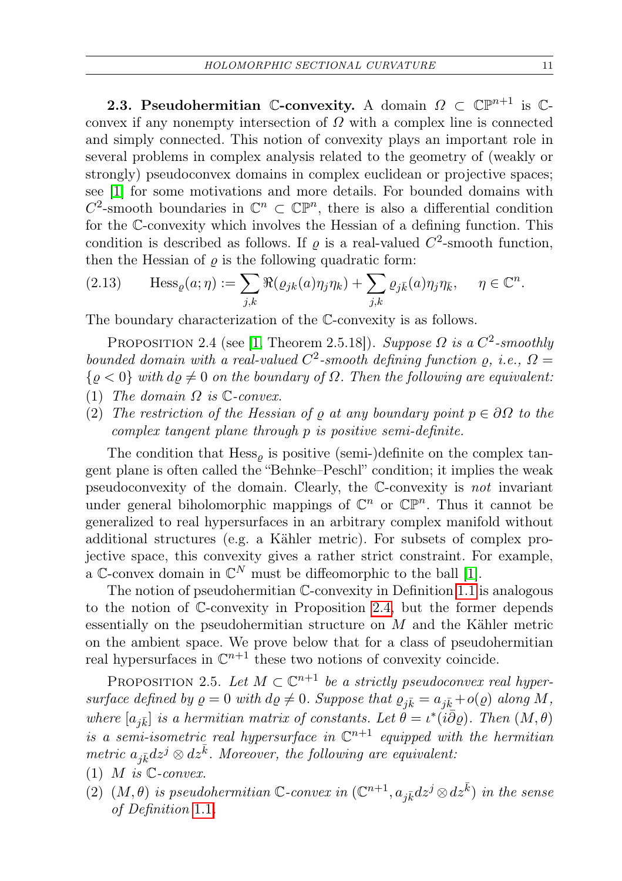<span id="page-10-0"></span>**2.3. Pseudohermitian C-convexity.** A domain  $\Omega \subset \mathbb{CP}^{n+1}$  is Cconvex if any nonempty intersection of  $\Omega$  with a complex line is connected and simply connected. This notion of convexity plays an important role in several problems in complex analysis related to the geometry of (weakly or strongly) pseudoconvex domains in complex euclidean or projective spaces; see [\[1\]](#page-20-2) for some motivations and more details. For bounded domains with  $C^2$ -smooth boundaries in  $\mathbb{C}^n \subset \mathbb{CP}^n$ , there is also a differential condition for the C-convexity which involves the Hessian of a defining function. This condition is described as follows. If  $\varrho$  is a real-valued  $C^2$ -smooth function, then the Hessian of  $\rho$  is the following quadratic form:

(2.13) 
$$
\text{Hess}_{\varrho}(a;\eta) := \sum_{j,k} \Re(\varrho_{jk}(a)\eta_j \eta_k) + \sum_{j,k} \varrho_{j\bar{k}}(a)\eta_j \eta_{\bar{k}}, \quad \eta \in \mathbb{C}^n.
$$

The boundary characterization of the C-convexity is as follows.

<span id="page-10-2"></span>PROPOSITION 2.4 (see [\[1,](#page-20-2) Theorem 2.5.18]). Suppose  $\Omega$  is a  $C^2$ -smoothly bounded domain with a real-valued  $C^2$ -smooth defining function  $\rho$ , i.e.,  $\Omega =$  $\{\varrho < 0\}$  with  $d\varrho \neq 0$  on the boundary of  $\Omega$ . Then the following are equivalent:

- (1) The domain  $\Omega$  is  $\mathbb{C}\text{-}convex$ .
- (2) The restriction of the Hessian of  $\varrho$  at any boundary point  $p \in \partial \Omega$  to the complex tangent plane through p is positive semi-definite.

The condition that  $Hess_{\varrho}$  is positive (semi-)definite on the complex tangent plane is often called the "Behnke–Peschl" condition; it implies the weak pseudoconvexity of the domain. Clearly, the C-convexity is not invariant under general biholomorphic mappings of  $\mathbb{C}^n$  or  $\mathbb{CP}^n$ . Thus it cannot be generalized to real hypersurfaces in an arbitrary complex manifold without additional structures (e.g. a Kähler metric). For subsets of complex projective space, this convexity gives a rather strict constraint. For example, a C-convex domain in  $\mathbb{C}^N$  must be diffeomorphic to the ball [\[1\]](#page-20-2).

The notion of pseudohermitian C-convexity in Definition [1.1](#page-2-2) is analogous to the notion of C-convexity in Proposition [2.4,](#page-10-2) but the former depends essentially on the pseudohermitian structure on M and the Kähler metric on the ambient space. We prove below that for a class of pseudohermitian real hypersurfaces in  $\mathbb{C}^{n+1}$  these two notions of convexity coincide.

<span id="page-10-1"></span>PROPOSITION 2.5. Let  $M \subset \mathbb{C}^{n+1}$  be a strictly pseudoconvex real hypersurface defined by  $\rho = 0$  with  $d\rho \neq 0$ . Suppose that  $\varrho_{j\bar{k}} = a_{j\bar{k}} + o(\varrho)$  along M, where  $[a_{j\bar{k}}]$  is a hermitian matrix of constants. Let  $\dot{\theta} = \iota^{*}(i\bar{\partial}\varrho)$ . Then  $(M,\theta)$ is a semi-isometric real hypersurface in  $\mathbb{C}^{n+1}$  equipped with the hermitian metric  $a_{j\bar{k}}dz^{j} \otimes dz^{\bar{k}}$ . Moreover, the following are equivalent:

- (1) M is  $\mathbb{C}\text{-}convex$ .
- (2)  $(M, \theta)$  is pseudohermitian C-convex in  $(\mathbb{C}^{n+1}, a_{j\bar{k}}dz^j \otimes dz^{\bar{k}})$  in the sense of Definition [1](#page-2-2).1.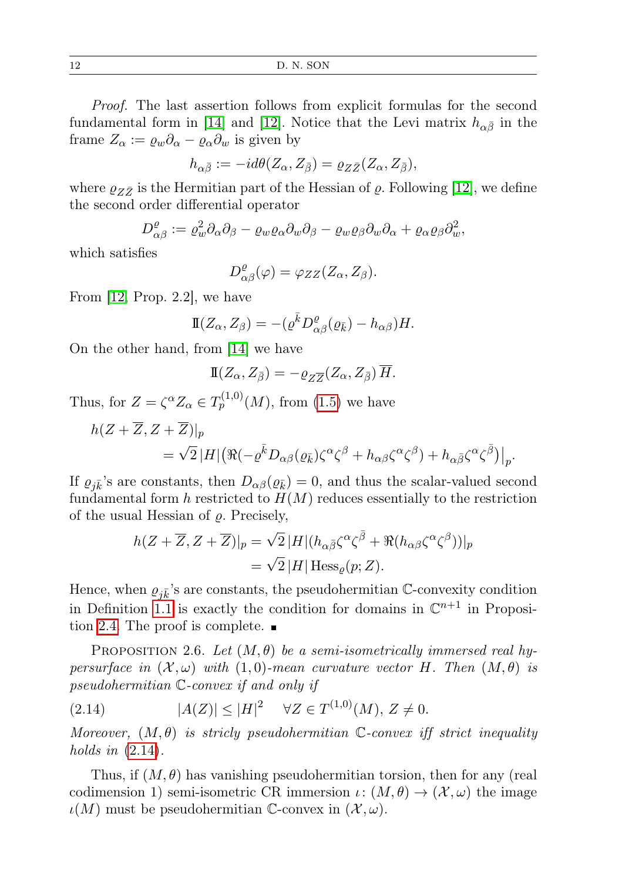12 D. N. SON

Proof. The last assertion follows from explicit formulas for the second fundamental form in [\[14\]](#page-21-3) and [\[12\]](#page-21-9). Notice that the Levi matrix  $h_{\alpha\bar{\beta}}$  in the frame  $Z_{\alpha} := \varrho_w \partial_{\alpha} - \varrho_{\alpha} \partial_w$  is given by

$$
h_{\alpha\bar{\beta}}:=-id\theta(Z_{\alpha},Z_{\bar{\beta}})=\varrho_{Z\bar{Z}}(Z_{\alpha},Z_{\bar{\beta}}),
$$

where  $\varrho_{Z\bar{Z}}$  is the Hermitian part of the Hessian of  $\varrho$ . Following [\[12\]](#page-21-9), we define the second order differential operator

$$
D^{\varrho}_{\alpha\beta} := \varrho_w^2 \partial_\alpha \partial_\beta - \varrho_w \varrho_\alpha \partial_w \partial_\beta - \varrho_w \varrho_\beta \partial_w \partial_\alpha + \varrho_\alpha \varrho_\beta \partial_w^2,
$$

which satisfies

$$
D_{\alpha\beta}^{\varrho}(\varphi)=\varphi_{ZZ}(Z_{\alpha},Z_{\beta}).
$$

From [\[12,](#page-21-9) Prop. 2.2], we have

$$
\mathbb{I}(Z_{\alpha}, Z_{\beta}) = -(\varrho^{\bar{k}} D^{\varrho}_{\alpha\beta}(\varrho_{\bar{k}}) - h_{\alpha\beta})H.
$$

On the other hand, from [\[14\]](#page-21-3) we have

$$
\mathbb{I}(Z_{\alpha}, Z_{\bar{\beta}}) = -\varrho_{Z\overline{Z}}(Z_{\alpha}, Z_{\bar{\beta}}) \overline{H}.
$$

Thus, for  $Z = \zeta^{\alpha} Z_{\alpha} \in T_p^{(1,0)}(M)$ , from [\(1.5\)](#page-2-3) we have

$$
h(Z+\overline{Z}, Z+\overline{Z})|_{p}
$$
  
=  $\sqrt{2}|H|(\Re(-\varrho^{\overline{k}}D_{\alpha\beta}(\varrho_{\overline{k}})\zeta^{\alpha}\zeta^{\beta} + h_{\alpha\beta}\zeta^{\alpha}\zeta^{\beta}) + h_{\alpha\overline{\beta}}\zeta^{\alpha}\zeta^{\overline{\beta}})|_{p}.$ 

If  $\varrho_{i\bar{k}}$ 's are constants, then  $D_{\alpha\beta}(\varrho_{\bar{k}})=0$ , and thus the scalar-valued second fundamental form  $h$  restricted to  $H(M)$  reduces essentially to the restriction of the usual Hessian of  $\rho$ . Precisely,

$$
h(Z+\overline{Z},Z+\overline{Z})|_{p} = \sqrt{2} |H|(h_{\alpha\overline{\beta}}\zeta^{\alpha}\zeta^{\overline{\beta}} + \Re(h_{\alpha\beta}\zeta^{\alpha}\zeta^{\beta}))|_{p}
$$
  
=  $\sqrt{2} |H| \operatorname{Hess}_{\varrho}(p;Z).$ 

Hence, when  $\varrho_{i\bar{k}}$ 's are constants, the pseudohermitian C-convexity condition in Definition [1.1](#page-2-2) is exactly the condition for domains in  $\mathbb{C}^{n+1}$  in Proposi-tion [2.4.](#page-10-2) The proof is complete.  $\blacksquare$ 

<span id="page-11-1"></span>PROPOSITION 2.6. Let  $(M, \theta)$  be a semi-isometrically immersed real hypersurface in  $(X, \omega)$  with  $(1, 0)$ -mean curvature vector H. Then  $(M, \theta)$  is pseudohermitian C-convex if and only if

<span id="page-11-0"></span>
$$
(2.14) \t\t |A(Z)| \le |H|^2 \quad \forall Z \in T^{(1,0)}(M), Z \ne 0.
$$

Moreover,  $(M, \theta)$  is stricly pseudohermitian C-convex iff strict inequality holds in  $(2.14)$ .

Thus, if  $(M, \theta)$  has vanishing pseudohermitian torsion, then for any (real codimension 1) semi-isometric CR immersion  $\iota: (M, \theta) \to (\mathcal{X}, \omega)$  the image  $\iota(M)$  must be pseudohermitian C-convex in  $(\mathcal{X}, \omega)$ .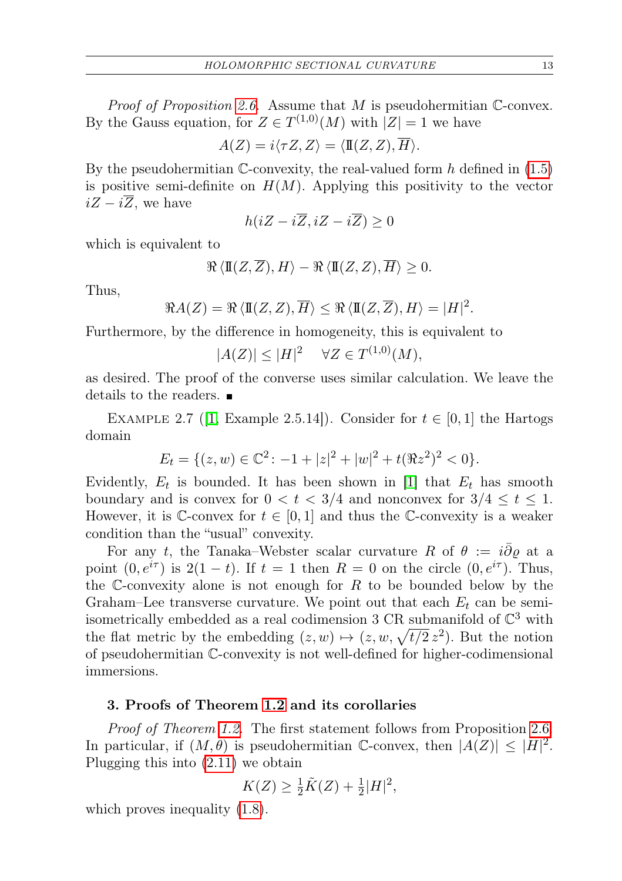*Proof of Proposition [2.6.](#page-11-1)* Assume that  $M$  is pseudohermitian C-convex. By the Gauss equation, for  $Z \in T^{(1,0)}(M)$  with  $|Z|=1$  we have

$$
A(Z) = i\langle \tau Z, Z \rangle = \langle \mathbb{I}(Z, Z), \overline{H} \rangle.
$$

By the pseudohermitian  $\mathbb{C}$ -convexity, the real-valued form h defined in [\(1.5\)](#page-2-3) is positive semi-definite on  $H(M)$ . Applying this positivity to the vector  $iZ - i\overline{Z}$ , we have

$$
h(iZ - i\overline{Z}, iZ - i\overline{Z}) \ge 0
$$

which is equivalent to

$$
\Re \langle \mathbf{I}(Z, \overline{Z}), H \rangle - \Re \langle \mathbf{I}(Z, Z), \overline{H} \rangle \ge 0.
$$

Thus,

$$
\Re A(Z) = \Re \langle \mathbb{I}(Z, Z), \overline{H} \rangle \leq \Re \langle \mathbb{I}(Z, \overline{Z}), H \rangle = |H|^2.
$$

Furthermore, by the difference in homogeneity, this is equivalent to

$$
|A(Z)| \le |H|^2 \quad \forall Z \in T^{(1,0)}(M),
$$

as desired. The proof of the converse uses similar calculation. We leave the details to the readers.

EXAMPLE 2.7 ([\[1,](#page-20-2) Example 2.5.14]). Consider for  $t \in [0,1]$  the Hartogs domain

$$
E_t = \{(z, w) \in \mathbb{C}^2 \colon -1 + |z|^2 + |w|^2 + t(\Re z^2)^2 < 0\}.
$$

Evidently,  $E_t$  is bounded. It has been shown in [\[1\]](#page-20-2) that  $E_t$  has smooth boundary and is convex for  $0 < t < 3/4$  and nonconvex for  $3/4 \le t \le 1$ . However, it is C-convex for  $t \in [0,1]$  and thus the C-convexity is a weaker condition than the "usual" convexity.

For any t, the Tanaka–Webster scalar curvature R of  $\theta := i \overline{\partial} \varrho$  at a point  $(0, e^{i\tau})$  is  $2(1-t)$ . If  $t = 1$  then  $R = 0$  on the circle  $(0, e^{i\tau})$ . Thus, the C-convexity alone is not enough for  $R$  to be bounded below by the Graham–Lee transverse curvature. We point out that each  $E_t$  can be semiisometrically embedded as a real codimension 3 CR submanifold of  $\mathbb{C}^3$  with the flat metric by the embedding  $(z, w) \mapsto (z, w, \sqrt{t/2} z^2)$ . But the notion of pseudohermitian C-convexity is not well-defined for higher-codimensional immersions.

# 3. Proofs of Theorem [1.2](#page-2-1) and its corollaries

Proof of Theorem [1.2.](#page-2-1) The first statement follows from Proposition [2.6.](#page-11-1) In particular, if  $(M, \theta)$  is pseudohermitian C-convex, then  $|A(Z)| \leq |H|^2$ . Plugging this into [\(2.11\)](#page-9-3) we obtain

$$
K(Z) \ge \frac{1}{2}\tilde{K}(Z) + \frac{1}{2}|H|^2,
$$

which proves inequality  $(1.8)$ .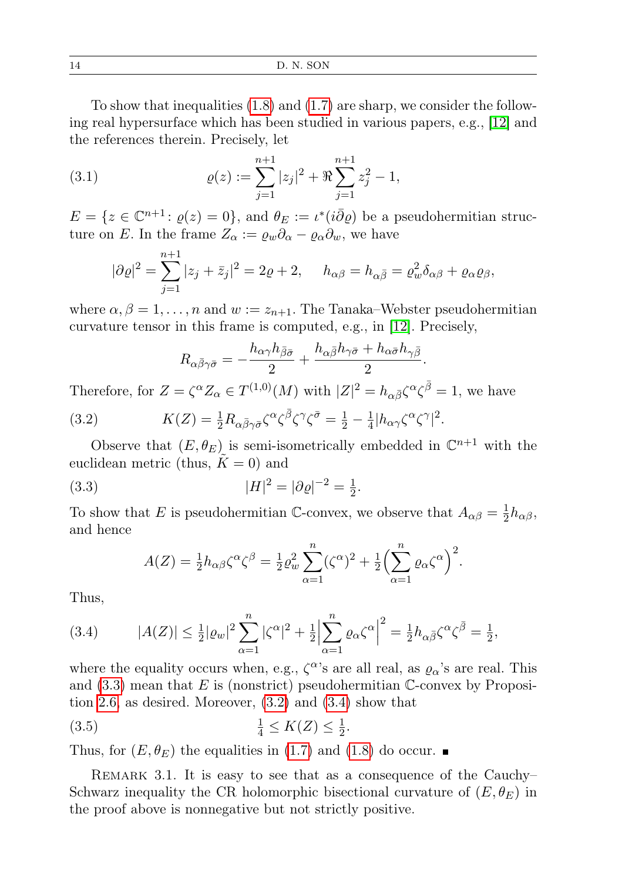To show that inequalities [\(1.8\)](#page-2-0) and [\(1.7\)](#page-2-4) are sharp, we consider the following real hypersurface which has been studied in various papers, e.g., [\[12\]](#page-21-9) and the references therein. Precisely, let

(3.1) 
$$
\varrho(z) := \sum_{j=1}^{n+1} |z_j|^2 + \Re \sum_{j=1}^{n+1} z_j^2 - 1,
$$

 $E = \{z \in \mathbb{C}^{n+1} \colon \varrho(z) = 0\},\$ and  $\theta_E := \iota^*(i\overline{\partial}\varrho)$  be a pseudohermitian structure on E. In the frame  $Z_{\alpha} := \varrho_w \partial_{\alpha} - \varrho_{\alpha} \partial_w$ , we have

$$
|\partial \varrho|^2 = \sum_{j=1}^{n+1} |z_j + \bar{z}_j|^2 = 2\varrho + 2, \quad h_{\alpha\beta} = h_{\alpha\bar{\beta}} = \varrho_w^2 \delta_{\alpha\beta} + \varrho_{\alpha}\varrho_{\beta},
$$

where  $\alpha, \beta = 1, \ldots, n$  and  $w := z_{n+1}$ . The Tanaka–Webster pseudohermitian curvature tensor in this frame is computed, e.g., in [\[12\]](#page-21-9). Precisely,

$$
R_{\alpha\bar{\beta}\gamma\bar{\sigma}} = -\frac{h_{\alpha\gamma}h_{\bar{\beta}\bar{\sigma}}}{2} + \frac{h_{\alpha\bar{\beta}}h_{\gamma\bar{\sigma}} + h_{\alpha\bar{\sigma}}h_{\gamma\bar{\beta}}}{2}.
$$

Therefore, for  $Z = \zeta^{\alpha} Z_{\alpha} \in T^{(1,0)}(M)$  with  $|Z|^2 = h_{\alpha\bar{\beta}} \zeta^{\alpha} \zeta^{\bar{\beta}} = 1$ , we have

<span id="page-13-1"></span>(3.2) 
$$
K(Z) = \frac{1}{2} R_{\alpha \bar{\beta} \gamma \bar{\sigma}} \zeta^{\alpha} \zeta^{\bar{\beta}} \zeta^{\gamma} \zeta^{\bar{\sigma}} = \frac{1}{2} - \frac{1}{4} |h_{\alpha \gamma} \zeta^{\alpha} \zeta^{\gamma}|^2.
$$

Observe that  $(E, \theta_E)$  is semi-isometrically embedded in  $\mathbb{C}^{n+1}$  with the euclidean metric (thus,  $K = 0$ ) and

<span id="page-13-0"></span>(3.3) 
$$
|H|^2 = |\partial \varrho|^{-2} = \frac{1}{2}.
$$

To show that E is pseudohermitian C-convex, we observe that  $A_{\alpha\beta} = \frac{1}{2}$  $\frac{1}{2}h_{\alpha\beta}$ and hence

$$
A(Z) = \frac{1}{2} h_{\alpha\beta} \zeta^{\alpha} \zeta^{\beta} = \frac{1}{2} \varrho_w^2 \sum_{\alpha=1}^n (\zeta^{\alpha})^2 + \frac{1}{2} \Big( \sum_{\alpha=1}^n \varrho_\alpha \zeta^{\alpha} \Big)^2.
$$

Thus,

<span id="page-13-2"></span>(3.4) 
$$
|A(Z)| \leq \frac{1}{2} |\varrho_w|^2 \sum_{\alpha=1}^n |\zeta^{\alpha}|^2 + \frac{1}{2} \Big| \sum_{\alpha=1}^n \varrho_\alpha \zeta^{\alpha} \Big|^2 = \frac{1}{2} h_{\alpha \bar{\beta}} \zeta^{\alpha} \zeta^{\bar{\beta}} = \frac{1}{2},
$$

where the equality occurs when, e.g.,  $\zeta^{\alpha}$ 's are all real, as  $\varrho_{\alpha}$ 's are real. This and  $(3.3)$  mean that E is (nonstrict) pseudohermitian C-convex by Proposition [2.6,](#page-11-1) as desired. Moreover, [\(3.2\)](#page-13-1) and [\(3.4\)](#page-13-2) show that

(3.5) 
$$
\frac{1}{4} \le K(Z) \le \frac{1}{2}
$$
.

Thus, for  $(E, \theta_E)$  the equalities in [\(1.7\)](#page-2-4) and [\(1.8\)](#page-2-0) do occur.

REMARK 3.1. It is easy to see that as a consequence of the Cauchy– Schwarz inequality the CR holomorphic bisectional curvature of  $(E, \theta_E)$  in the proof above is nonnegative but not strictly positive.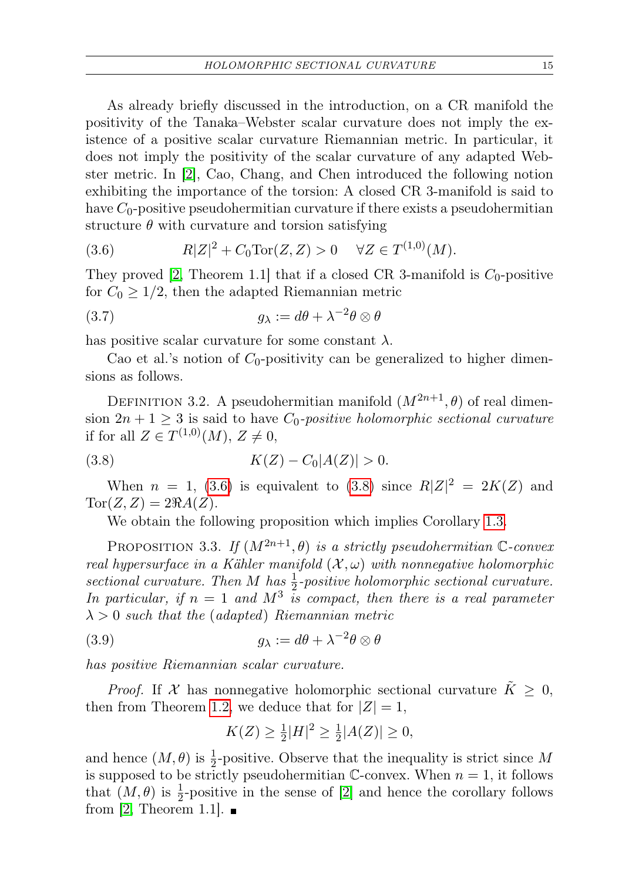As already briefly discussed in the introduction, on a CR manifold the positivity of the Tanaka–Webster scalar curvature does not imply the existence of a positive scalar curvature Riemannian metric. In particular, it does not imply the positivity of the scalar curvature of any adapted Webster metric. In [\[2\]](#page-20-3), Cao, Chang, and Chen introduced the following notion exhibiting the importance of the torsion: A closed CR 3-manifold is said to have  $C_0$ -positive pseudohermitian curvature if there exists a pseudohermitian structure  $\theta$  with curvature and torsion satisfying

<span id="page-14-0"></span>(3.6) 
$$
R|Z|^2 + C_0 \text{Tor}(Z, Z) > 0 \quad \forall Z \in T^{(1,0)}(M).
$$

They proved [\[2,](#page-20-3) Theorem 1.1] that if a closed CR 3-manifold is  $C_0$ -positive for  $C_0 \geq 1/2$ , then the adapted Riemannian metric

(3.7) 
$$
g_{\lambda} := d\theta + \lambda^{-2} \theta \otimes \theta
$$

has positive scalar curvature for some constant  $\lambda$ .

Cao et al.'s notion of  $C_0$ -positivity can be generalized to higher dimensions as follows.

DEFINITION 3.2. A pseudohermitian manifold  $(M^{2n+1}, \theta)$  of real dimension  $2n + 1 \geq 3$  is said to have  $C_0$ -positive holomorphic sectional curvature if for all  $Z \in T^{(1,0)}(M), Z \neq 0$ ,

(3.8) 
$$
K(Z) - C_0|A(Z)| > 0.
$$

When  $n = 1$ , [\(3.6\)](#page-14-0) is equivalent to [\(3.8\)](#page-14-1) since  $R|Z|^2 = 2K(Z)$  and  $Tor(Z, Z) = 2\Re A(Z).$ 

<span id="page-14-1"></span>We obtain the following proposition which implies Corollary [1.3.](#page-3-0)

PROPOSITION 3.3. If  $(M^{2n+1}, \theta)$  is a strictly pseudohermitian C-convex real hypersurface in a Kähler manifold  $(X, \omega)$  with nonnegative holomorphic sectional curvature. Then M has  $\frac{1}{2}$ -positive holomorphic sectional curvature. In particular, if  $n = 1$  and  $M^3$  is compact, then there is a real parameter  $\lambda > 0$  such that the (adapted) Riemannian metric

(3.9) 
$$
g_{\lambda} := d\theta + \lambda^{-2} \theta \otimes \theta
$$

has positive Riemannian scalar curvature.

*Proof.* If X has nonnegative holomorphic sectional curvature  $\tilde{K} \geq 0$ , then from Theorem [1.2,](#page-2-1) we deduce that for  $|Z|=1$ ,

$$
K(Z) \ge \frac{1}{2}|H|^2 \ge \frac{1}{2}|A(Z)| \ge 0,
$$

and hence  $(M, \theta)$  is  $\frac{1}{2}$ -positive. Observe that the inequality is strict since M is supposed to be strictly pseudohermitian C-convex. When  $n = 1$ , it follows that  $(M, \theta)$  is  $\frac{1}{2}$ -positive in the sense of [\[2\]](#page-20-3) and hence the corollary follows from [\[2,](#page-20-3) Theorem 1.1].  $\blacksquare$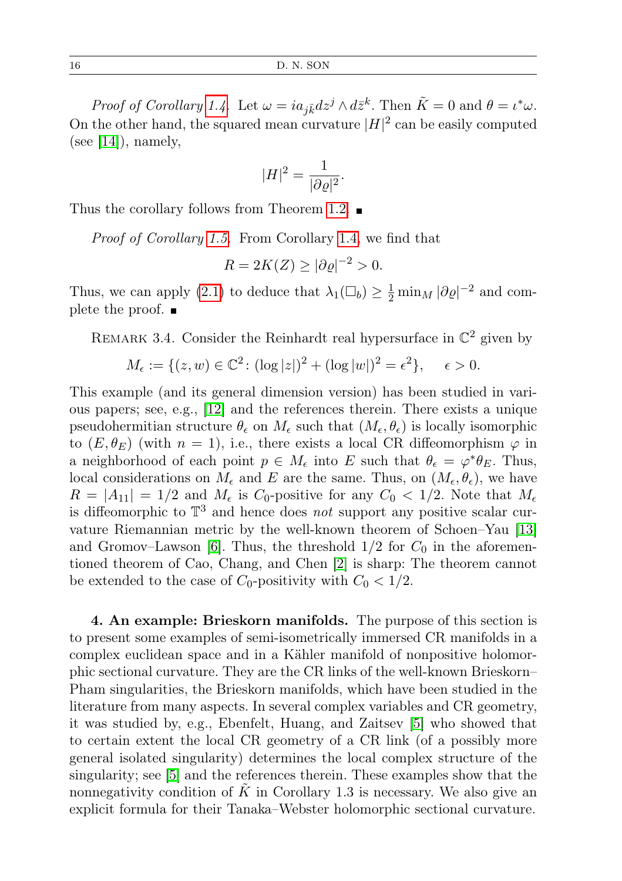16 D. N. SON

Proof of Corollary [1.4.](#page-4-1) Let  $\omega = ia_{j\bar{k}}dz^j \wedge d\bar{z}^k$ . Then  $\tilde{K} = 0$  and  $\theta = \iota^*\omega$ . On the other hand, the squared mean curvature  $|H|^2$  can be easily computed (see  $[14]$ ), namely,

$$
|H|^2 = \frac{1}{|\partial \varrho|^2}.
$$

Thus the corollary follows from Theorem [1.2.](#page-2-1)

Proof of Corollary [1.5.](#page-5-2) From Corollary [1.4,](#page-4-1) we find that

$$
R = 2K(Z) \ge |\partial \varrho|^{-2} > 0.
$$

Thus, we can apply [\(2.1\)](#page-7-0) to deduce that  $\lambda_1(\Box_b) \geq \frac{1}{2} \min_M |\partial \varrho|^{-2}$  and complete the proof.  $\blacksquare$ 

REMARK 3.4. Consider the Reinhardt real hypersurface in  $\mathbb{C}^2$  given by

$$
M_{\epsilon} := \{ (z, w) \in \mathbb{C}^2 \colon (\log |z|)^2 + (\log |w|)^2 = \epsilon^2 \}, \quad \epsilon > 0.
$$

This example (and its general dimension version) has been studied in various papers; see, e.g., [\[12\]](#page-21-9) and the references therein. There exists a unique pseudohermitian structure  $\theta_{\epsilon}$  on  $M_{\epsilon}$  such that  $(M_{\epsilon}, \theta_{\epsilon})$  is locally isomorphic to  $(E, \theta_E)$  (with  $n = 1$ ), i.e., there exists a local CR diffeomorphism  $\varphi$  in a neighborhood of each point  $p \in M_{\epsilon}$  into E such that  $\theta_{\epsilon} = \varphi^* \theta_E$ . Thus, local considerations on  $M_{\epsilon}$  and E are the same. Thus, on  $(M_{\epsilon}, \theta_{\epsilon})$ , we have  $R = |A_{11}| = 1/2$  and  $M_{\epsilon}$  is C<sub>0</sub>-positive for any  $C_0 < 1/2$ . Note that  $M_{\epsilon}$ is diffeomorphic to  $\mathbb{T}^3$  and hence does not support any positive scalar curvature Riemannian metric by the well-known theorem of Schoen–Yau [\[13\]](#page-21-4) and Gromov–Lawson [\[6\]](#page-20-4). Thus, the threshold  $1/2$  for  $C_0$  in the aforementioned theorem of Cao, Chang, and Chen [\[2\]](#page-20-3) is sharp: The theorem cannot be extended to the case of  $C_0$ -positivity with  $C_0 < 1/2$ .

<span id="page-15-0"></span>4. An example: Brieskorn manifolds. The purpose of this section is to present some examples of semi-isometrically immersed CR manifolds in a complex euclidean space and in a Kähler manifold of nonpositive holomorphic sectional curvature. They are the CR links of the well-known Brieskorn– Pham singularities, the Brieskorn manifolds, which have been studied in the literature from many aspects. In several complex variables and CR geometry, it was studied by, e.g., Ebenfelt, Huang, and Zaitsev [\[5\]](#page-20-6) who showed that to certain extent the local CR geometry of a CR link (of a possibly more general isolated singularity) determines the local complex structure of the singularity; see [\[5\]](#page-20-6) and the references therein. These examples show that the nonnegativity condition of  $K$  in Corollary 1.3 is necessary. We also give an explicit formula for their Tanaka–Webster holomorphic sectional curvature.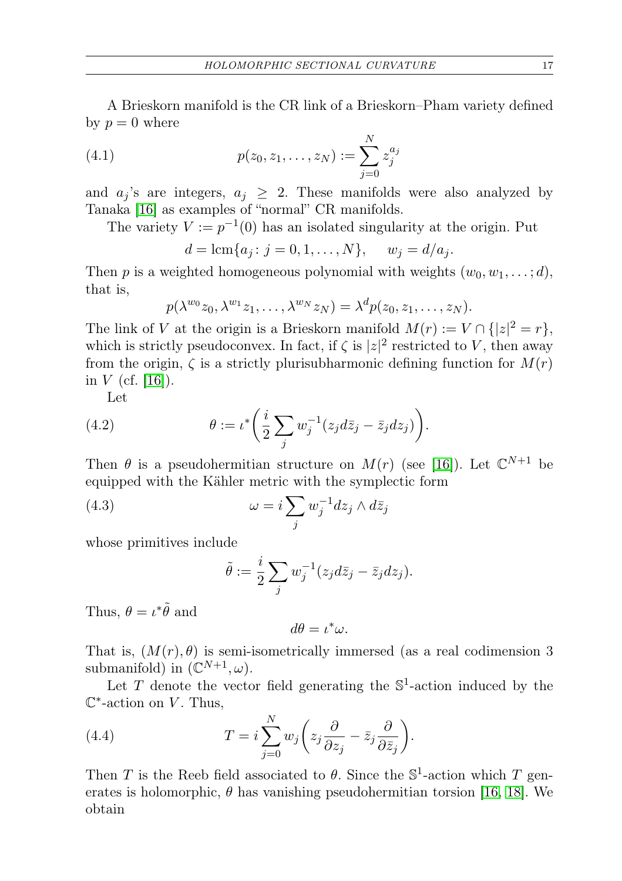<span id="page-16-0"></span>A Brieskorn manifold is the CR link of a Brieskorn–Pham variety defined by  $p = 0$  where

(4.1) 
$$
p(z_0, z_1, \dots, z_N) := \sum_{j=0}^N z_j^{a_j}
$$

and  $a_i$ 's are integers,  $a_i \geq 2$ . These manifolds were also analyzed by Tanaka [\[16\]](#page-21-0) as examples of "normal" CR manifolds.

The variety  $V := p^{-1}(0)$  has an isolated singularity at the origin. Put

$$
d = \text{lcm}\{a_j : j = 0, 1, ..., N\},
$$
  $w_j = d/a_j.$ 

Then p is a weighted homogeneous polynomial with weights  $(w_0, w_1, \ldots; d)$ , that is,

$$
p(\lambda^{w_0}z_0,\lambda^{w_1}z_1,\ldots,\lambda^{w_N}z_N)=\lambda^d p(z_0,z_1,\ldots,z_N).
$$

The link of V at the origin is a Brieskorn manifold  $M(r) := V \cap \{ |z|^2 = r \},\$ which is strictly pseudoconvex. In fact, if  $\zeta$  is  $|z|^2$  restricted to V, then away from the origin,  $\zeta$  is a strictly plurisubharmonic defining function for  $M(r)$ in  $V$  (cf. [\[16\]](#page-21-0)).

Let

(4.2) 
$$
\theta := \iota^* \bigg( \frac{i}{2} \sum_j w_j^{-1} (z_j d\overline{z}_j - \overline{z}_j dz_j) \bigg).
$$

Then  $\theta$  is a pseudohermitian structure on  $M(r)$  (see [\[16\]](#page-21-0)). Let  $\mathbb{C}^{N+1}$  be equipped with the Kähler metric with the symplectic form

(4.3) 
$$
\omega = i \sum_{j} w_j^{-1} dz_j \wedge d\bar{z}_j
$$

whose primitives include

$$
\tilde{\theta} := \frac{i}{2} \sum_j w_j^{-1} (z_j d\overline{z}_j - \overline{z}_j dz_j).
$$

Thus,  $\theta = \iota^* \tilde{\theta}$  and

<span id="page-16-1"></span>
$$
d\theta = \iota^*\omega.
$$

That is,  $(M(r), \theta)$  is semi-isometrically immersed (as a real codimension 3 submanifold) in  $(\mathbb{C}^{N+1}, \omega)$ .

Let  $T$  denote the vector field generating the  $\mathbb{S}^1$ -action induced by the  $\mathbb{C}^*$ -action on V. Thus,

(4.4) 
$$
T = i \sum_{j=0}^{N} w_j \left( z_j \frac{\partial}{\partial z_j} - \bar{z}_j \frac{\partial}{\partial \bar{z}_j} \right).
$$

Then T is the Reeb field associated to  $\theta$ . Since the  $\mathbb{S}^1$ -action which T generates is holomorphic,  $\theta$  has vanishing pseudohermitian torsion [\[16,](#page-21-0) [18\]](#page-21-1). We obtain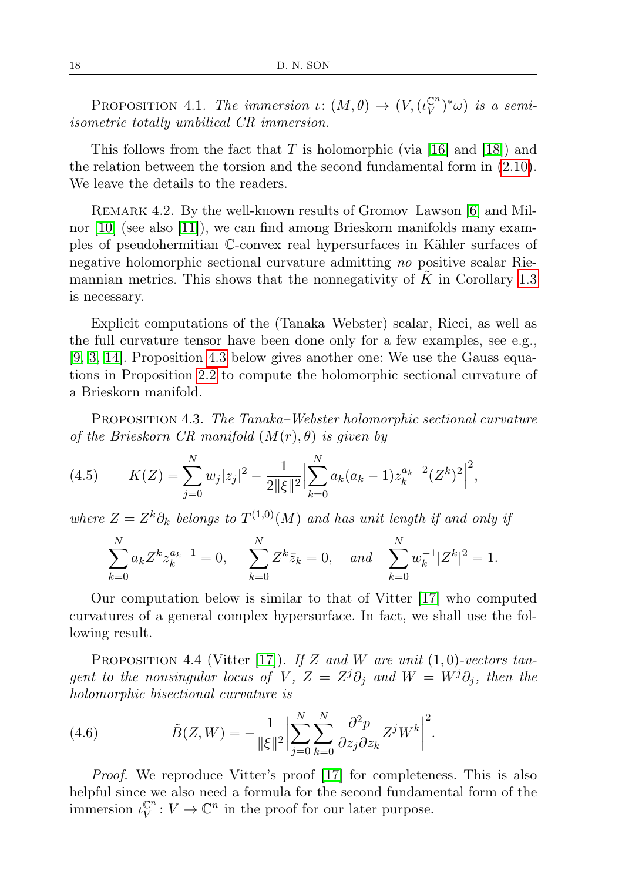<span id="page-17-3"></span>PROPOSITION 4.1. The immersion  $\iota: (M, \theta) \to (V, (\iota_V^{\mathbb{C}^n}))$  $(V^{n})^*\omega$ ) is a semiisometric totally umbilical CR immersion.

This follows from the fact that  $T$  is holomorphic (via [\[16\]](#page-21-0) and [\[18\]](#page-21-1)) and the relation between the torsion and the second fundamental form in [\(2.10\)](#page-9-1). We leave the details to the readers.

REMARK 4.2. By the well-known results of Gromov–Lawson [\[6\]](#page-20-4) and Milnor [\[10\]](#page-21-5) (see also [\[11\]](#page-21-6)), we can find among Brieskorn manifolds many examples of pseudohermitian C-convex real hypersurfaces in Kähler surfaces of negative holomorphic sectional curvature admitting no positive scalar Riemannian metrics. This shows that the nonnegativity of  $\tilde{K}$  in Corollary [1.3](#page-3-0) is necessary.

Explicit computations of the (Tanaka–Webster) scalar, Ricci, as well as the full curvature tensor have been done only for a few examples, see e.g., [\[9,](#page-21-2) [3,](#page-20-0) [14\]](#page-21-3). Proposition [4.3](#page-17-0) below gives another one: We use the Gauss equations in Proposition [2.2](#page-8-0) to compute the holomorphic sectional curvature of a Brieskorn manifold.

<span id="page-17-0"></span>PROPOSITION 4.3. The Tanaka–Webster holomorphic sectional curvature of the Brieskorn CR manifold  $(M(r), \theta)$  is given by

(4.5) 
$$
K(Z) = \sum_{j=0}^{N} w_j |z_j|^2 - \frac{1}{2||\xi||^2} \Big| \sum_{k=0}^{N} a_k (a_k - 1) z_k^{a_k - 2} (Z^k)^2 \Big|^2,
$$

where  $Z = Z^k \partial_k$  belongs to  $T^{(1,0)}(M)$  and has unit length if and only if

<span id="page-17-2"></span>
$$
\sum_{k=0}^{N} a_k Z^k z_k^{a_k - 1} = 0, \quad \sum_{k=0}^{N} Z^k \bar{z}_k = 0, \quad \text{and} \quad \sum_{k=0}^{N} w_k^{-1} |Z^k|^2 = 1.
$$

Our computation below is similar to that of Vitter [\[17\]](#page-21-10) who computed curvatures of a general complex hypersurface. In fact, we shall use the following result.

<span id="page-17-1"></span>PROPOSITION 4.4 (Vitter [\[17\]](#page-21-10)). If Z and W are unit  $(1,0)$ -vectors tangent to the nonsingular locus of V,  $Z = Z^{j}\partial_{j}$  and  $W = W^{j}\partial_{j}$ , then the holomorphic bisectional curvature is

(4.6) 
$$
\tilde{B}(Z,W) = -\frac{1}{\|\xi\|^2} \left| \sum_{j=0}^N \sum_{k=0}^N \frac{\partial^2 p}{\partial z_j \partial z_k} Z^j W^k \right|^2.
$$

Proof. We reproduce Vitter's proof [\[17\]](#page-21-10) for completeness. This is also helpful since we also need a formula for the second fundamental form of the immersion  $\iota_V^{\mathbb{C}^n}$  $\mathbb{C}^n : V \to \mathbb{C}^n$  in the proof for our later purpose.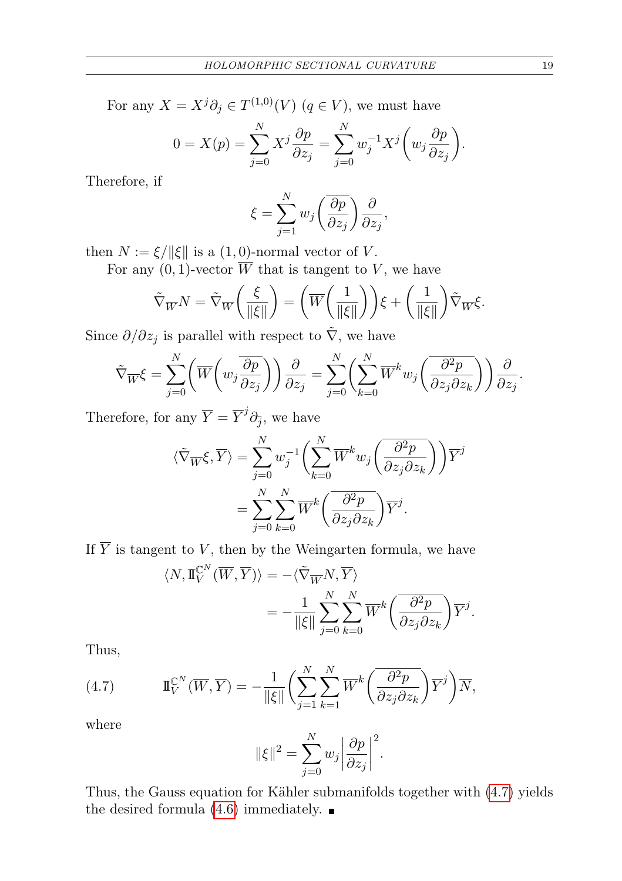For any  $X = X^j \partial_j \in T^{(1,0)}(V)$   $(q \in V)$ , we must have

$$
0 = X(p) = \sum_{j=0}^{N} X^j \frac{\partial p}{\partial z_j} = \sum_{j=0}^{N} w_j^{-1} X^j \left( w_j \frac{\partial p}{\partial z_j} \right).
$$

Therefore, if

$$
\xi = \sum_{j=1}^{N} w_j \left( \frac{\overline{\partial p}}{\partial z_j} \right) \frac{\partial}{\partial z_j},
$$

then  $N := \xi / ||\xi||$  is a  $(1, 0)$ -normal vector of V.

For any  $(0, 1)$ -vector  $\overline{W}$  that is tangent to V, we have

$$
\tilde{\nabla}_{\overline{W}}N = \tilde{\nabla}_{\overline{W}}\left(\frac{\xi}{\|\xi\|}\right) = \left(\overline{W}\left(\frac{1}{\|\xi\|}\right)\right)\xi + \left(\frac{1}{\|\xi\|}\right)\tilde{\nabla}_{\overline{W}}\xi.
$$

Since  $\partial/\partial z_j$  is parallel with respect to  $\overline{\nabla}$ , we have

$$
\tilde{\nabla}_{\overline{W}} \xi = \sum_{j=0}^{N} \left( \overline{W} \left( w_j \frac{\overline{\partial p}}{\partial z_j} \right) \right) \frac{\partial}{\partial z_j} = \sum_{j=0}^{N} \left( \sum_{k=0}^{N} \overline{W}^k w_j \left( \frac{\overline{\partial^2 p}}{\partial z_j \partial z_k} \right) \right) \frac{\partial}{\partial z_j}.
$$

Therefore, for any  $\overline{Y} = \overline{Y}^j \partial_{\overline{j}},$  we have

$$
\langle \tilde{\nabla}_{\overline{W}} \xi, \overline{Y} \rangle = \sum_{j=0}^{N} w_j^{-1} \left( \sum_{k=0}^{N} \overline{W}^k w_j \left( \frac{\partial^2 p}{\partial z_j \partial z_k} \right) \right) \overline{Y}^j
$$
  
= 
$$
\sum_{j=0}^{N} \sum_{k=0}^{N} \overline{W}^k \left( \frac{\partial^2 p}{\partial z_j \partial z_k} \right) \overline{Y}^j.
$$

If  $\overline{Y}$  is tangent to V, then by the Weingarten formula, we have

$$
\langle N, \mathbb{I}_{V}^{\mathbb{C}^{N}}(\overline{W}, \overline{Y}) \rangle = -\langle \tilde{\nabla}_{\overline{W}} N, \overline{Y} \rangle
$$
  

$$
= -\frac{1}{\|\xi\|} \sum_{j=0}^{N} \sum_{k=0}^{N} \overline{W}^{k} \left( \frac{\partial^{2} p}{\partial z_{j} \partial z_{k}} \right) \overline{Y}^{j}.
$$

<span id="page-18-0"></span>Thus,

(4.7) 
$$
\mathbb{I}_{V}^{\mathbb{C}^{N}}(\overline{W},\overline{Y})=-\frac{1}{\|\xi\|}\bigg(\sum_{j=1}^{N}\sum_{k=1}^{N}\overline{W}^{k}\bigg(\overline{\frac{\partial^{2}p}{\partial z_{j}\partial z_{k}}}\bigg)\overline{Y}^{j}\bigg)\overline{N},
$$

where

$$
\|\xi\|^2 = \sum_{j=0}^N w_j \left| \frac{\partial p}{\partial z_j} \right|^2.
$$

Thus, the Gauss equation for Kähler submanifolds together with [\(4.7\)](#page-18-0) yields the desired formula  $(4.6)$  immediately.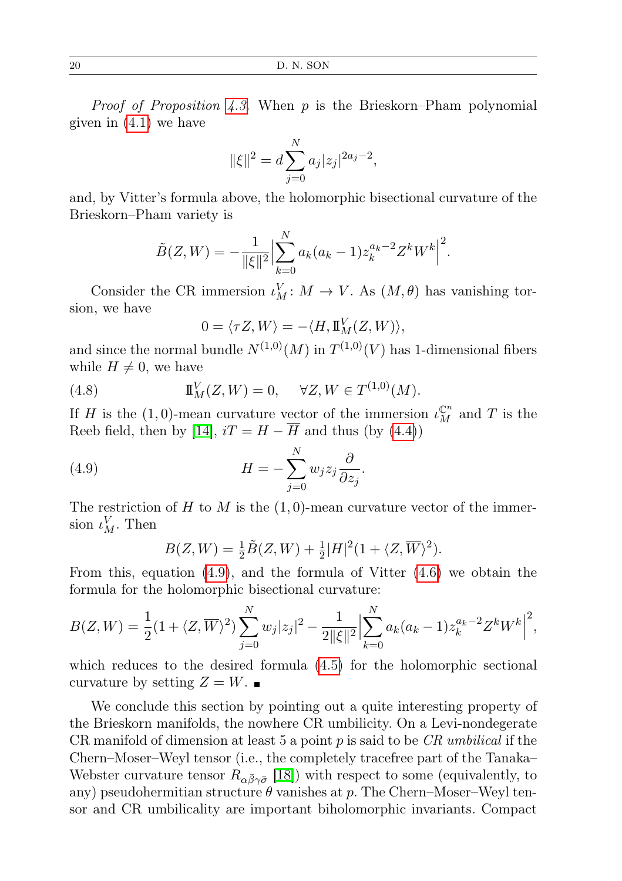*Proof of Proposition [4.3.](#page-17-0)* When  $p$  is the Brieskorn–Pham polynomial given in [\(4.1\)](#page-16-0) we have

$$
\|\xi\|^2 = d \sum_{j=0}^N a_j |z_j|^{2a_j - 2},
$$

and, by Vitter's formula above, the holomorphic bisectional curvature of the Brieskorn–Pham variety is

$$
\tilde{B}(Z,W) = -\frac{1}{\|\xi\|^2} \Big| \sum_{k=0}^{N} a_k (a_k - 1) z_k^{a_k - 2} Z^k W^k \Big|^2.
$$

Consider the CR immersion  $\iota_M^V: M \to V$ . As  $(M, \theta)$  has vanishing torsion, we have

<span id="page-19-0"></span>
$$
0 = \langle \tau Z, W \rangle = -\langle H, \mathbf{I}_M^V(Z, W) \rangle,
$$

and since the normal bundle  $N^{(1,0)}(M)$  in  $T^{(1,0)}(V)$  has 1-dimensional fibers while  $H \neq 0$ , we have

(4.8) 
$$
\mathbb{I}_{M}^{V}(Z, W) = 0, \quad \forall Z, W \in T^{(1,0)}(M).
$$

If H is the (1,0)-mean curvature vector of the immersion  $\iota_M^{\mathbb{C}^n}$  and T is the Reeb field, then by [\[14\]](#page-21-3),  $iT = H - \overline{H}$  and thus (by [\(4.4\)](#page-16-1))

(4.9) 
$$
H = -\sum_{j=0}^{N} w_j z_j \frac{\partial}{\partial z_j}.
$$

The restriction of H to M is the  $(1,0)$ -mean curvature vector of the immersion  $\iota_M^V$ . Then

$$
B(Z,W) = \frac{1}{2}\tilde{B}(Z,W) + \frac{1}{2}|H|^2(1+\langle Z,\overline{W}\rangle^2).
$$

From this, equation  $(4.9)$ , and the formula of Vitter  $(4.6)$  we obtain the formula for the holomorphic bisectional curvature:

$$
B(Z,W) = \frac{1}{2}(1+\langle Z,\overline{W}\rangle)^2 \sum_{j=0}^N w_j |z_j|^2 - \frac{1}{2||\xi||^2} \Big|\sum_{k=0}^N a_k (a_k - 1) z_k^{a_k - 2} Z^k W^k \Big|^2,
$$

which reduces to the desired formula [\(4.5\)](#page-17-2) for the holomorphic sectional curvature by setting  $Z = W$ .

We conclude this section by pointing out a quite interesting property of the Brieskorn manifolds, the nowhere CR umbilicity. On a Levi-nondegerate CR manifold of dimension at least 5 a point p is said to be  $CR$  umbilical if the Chern–Moser–Weyl tensor (i.e., the completely tracefree part of the Tanaka– Webster curvature tensor  $R_{\alpha\bar{\beta}\gamma\bar{\sigma}}$  [\[18\]](#page-21-1)) with respect to some (equivalently, to any) pseudohermitian structure  $\theta$  vanishes at p. The Chern–Moser–Weyl tensor and CR umbilicality are important biholomorphic invariants. Compact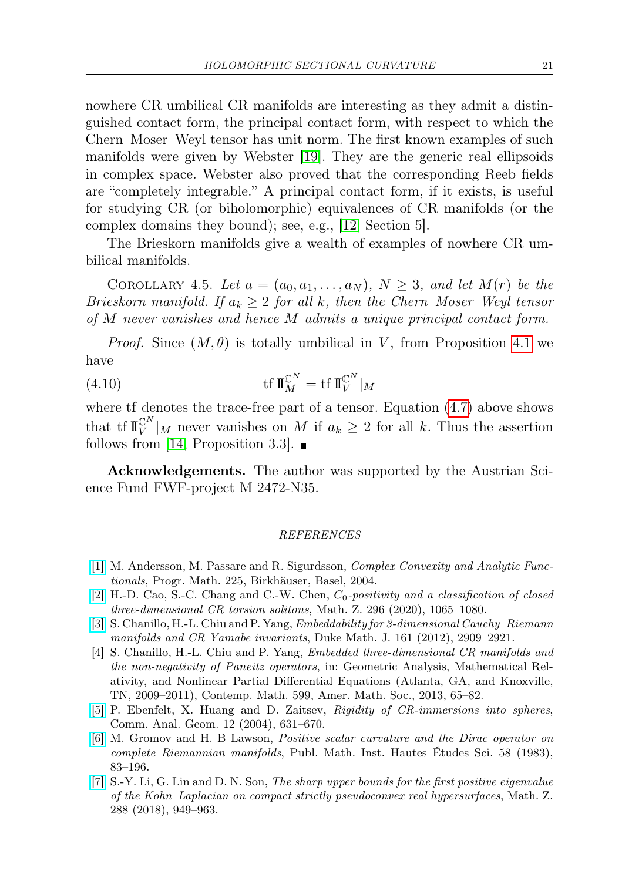nowhere CR umbilical CR manifolds are interesting as they admit a distinguished contact form, the principal contact form, with respect to which the Chern–Moser–Weyl tensor has unit norm. The first known examples of such manifolds were given by Webster [\[19\]](#page-21-11). They are the generic real ellipsoids in complex space. Webster also proved that the corresponding Reeb fields are "completely integrable." A principal contact form, if it exists, is useful for studying CR (or biholomorphic) equivalences of CR manifolds (or the complex domains they bound); see, e.g., [\[12,](#page-21-9) Section 5].

The Brieskorn manifolds give a wealth of examples of nowhere CR umbilical manifolds.

COROLLARY 4.5. Let  $a = (a_0, a_1, \ldots, a_N)$ ,  $N \geq 3$ , and let  $M(r)$  be the Brieskorn manifold. If  $a_k \geq 2$  for all k, then the Chern–Moser–Weyl tensor of M never vanishes and hence M admits a unique principal contact form.

*Proof.* Since  $(M, \theta)$  is totally umbilical in V, from Proposition [4.1](#page-17-3) we have

(4.10) 
$$
\operatorname{tf} \mathbb{I}_{M}^{\mathbb{C}^{N}} = \operatorname{tf} \mathbb{I}_{V}^{\mathbb{C}^{N}}|_{M}
$$

where tf denotes the trace-free part of a tensor. Equation  $(4.7)$  above shows that tf  $\mathbb{I}_{V}^{\mathbb{C}^{N}}|_{M}$  never vanishes on M if  $a_{k} \geq 2$  for all k. Thus the assertion follows from [\[14,](#page-21-3) Proposition 3.3].  $\blacksquare$ 

Acknowledgements. The author was supported by the Austrian Science Fund FWF-project M 2472-N35.

### REFERENCES

- <span id="page-20-2"></span>[\[1\]](http://dx.doi.org/10.1007/978-3-0348-7871-5_2) M. Andersson, M. Passare and R. Sigurdsson, Complex Convexity and Analytic Functionals, Progr. Math. 225, Birkhäuser, Basel, 2004.
- <span id="page-20-3"></span>[\[2\]](http://dx.doi.org/10.1007/s00209-020-02471-2) H.-D. Cao, S.-C. Chang and C.-W. Chen,  $C_0$ -positivity and a classification of closed three-dimensional CR torsion solitons, Math. Z. 296 (2020), 1065–1080.
- <span id="page-20-0"></span>[\[3\]](http://dx.doi.org/10.1215/00127094-1902154) S. Chanillo, H.-L. Chiu and P. Yang, Embeddability for 3-dimensional Cauchy–Riemann manifolds and CR Yamabe invariants, Duke Math. J. 161 (2012), 2909–2921.
- <span id="page-20-1"></span>[4] S. Chanillo, H.-L. Chiu and P. Yang, Embedded three-dimensional CR manifolds and the non-negativity of Paneitz operators, in: Geometric Analysis, Mathematical Relativity, and Nonlinear Partial Differential Equations (Atlanta, GA, and Knoxville, TN, 2009–2011), Contemp. Math. 599, Amer. Math. Soc., 2013, 65–82.
- <span id="page-20-6"></span>[\[5\]](http://dx.doi.org/10.4310/CAG.2004.v12.n3.a6) P. Ebenfelt, X. Huang and D. Zaitsev, Rigidity of CR-immersions into spheres, Comm. Anal. Geom. 12 (2004), 631–670.
- <span id="page-20-4"></span>[\[6\]](http://dx.doi.org/10.1007/BF02953774) M. Gromov and H. B Lawson, Positive scalar curvature and the Dirac operator on complete Riemannian manifolds, Publ. Math. Inst. Hautes Études Sci. 58 (1983), 83–196.
- <span id="page-20-5"></span>[\[7\]](http://dx.doi.org/10.1007/s00209-017-1922-z) S.-Y. Li, G. Lin and D. N. Son, The sharp upper bounds for the first positive eigenvalue of the Kohn–Laplacian on compact strictly pseudoconvex real hypersurfaces, Math. Z. 288 (2018), 949–963.